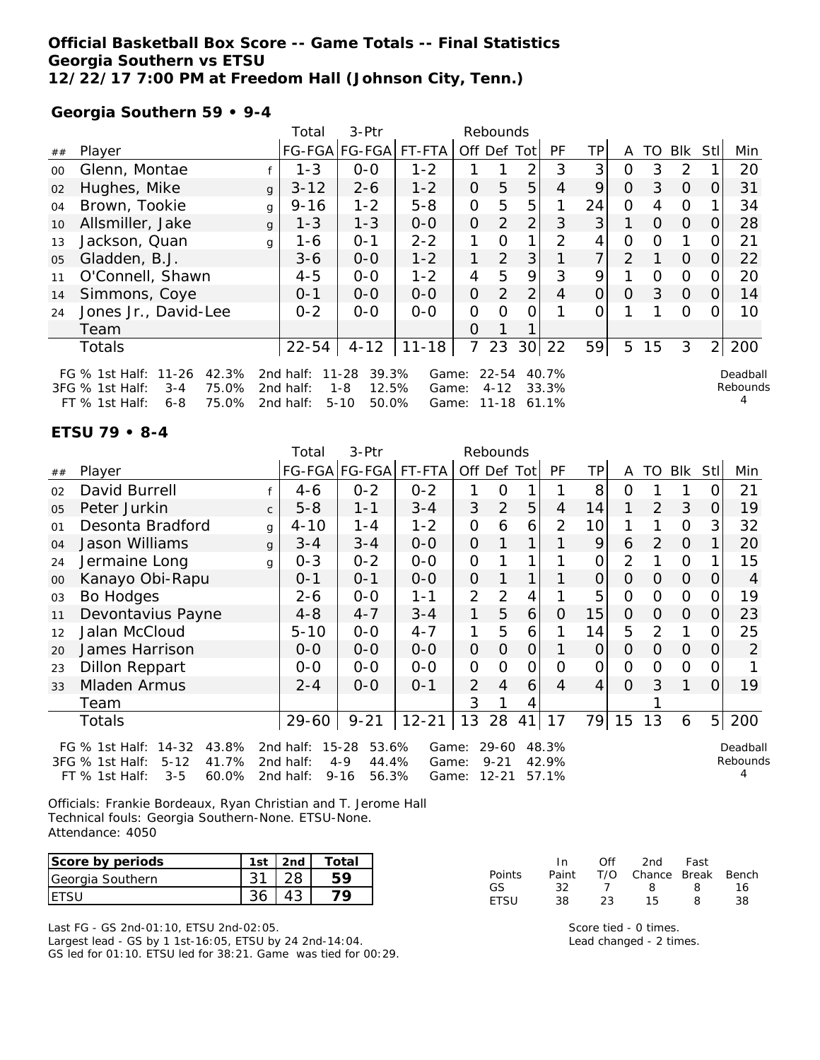#### **Official Basketball Box Score -- Game Totals -- Final Statistics Georgia Southern vs ETSU 12/22/17 7:00 PM at Freedom Hall (Johnson City, Tenn.)**

FT % 1st Half: 6-8 75.0% 2nd half: 5-10 50.0% Game: 11-18 61.1%

**Georgia Southern 59 • 9-4**

|        |                                                                                                                                        |              | Total                  | 3-Ptr                                                      | Rebounds                            |                |                       |                 |                |                |               |          |               |                |                      |
|--------|----------------------------------------------------------------------------------------------------------------------------------------|--------------|------------------------|------------------------------------------------------------|-------------------------------------|----------------|-----------------------|-----------------|----------------|----------------|---------------|----------|---------------|----------------|----------------------|
| ##     | Player                                                                                                                                 |              |                        | FG-FGA FG-FGA                                              | FT-FTA                              | Off Def        |                       | Totl            | <b>PF</b>      | TP.            | A             | TO       | <b>BIK</b>    | Stl            | Min                  |
| $00\,$ | Glenn, Montae                                                                                                                          |              | $1 - 3$                | $0 - 0$                                                    | $1 - 2$                             |                |                       | 2               | 3              | 3              | 0             | 3        | $\mathcal{P}$ |                | 20                   |
| 02     | Hughes, Mike                                                                                                                           | $\mathbf{q}$ | $3 - 12$               | $2 - 6$                                                    | $1 - 2$                             | $\Omega$       | 5                     | 5               | 4              | 9              | $\Omega$      | 3        | $\Omega$      | O              | 31                   |
| 04     | Brown, Tookie                                                                                                                          | g            | $9 - 16$               | $1 - 2$                                                    | $5 - 8$                             | O              | 5                     | 5               |                | 24             | Ω             | 4        | 0             |                | 34                   |
| 10     | Allsmiller, Jake                                                                                                                       | $\mathbf{q}$ | $1 - 3$                | $1 - 3$                                                    | $0 - 0$                             | $\Omega$       | 2                     | $\overline{2}$  | 3              | 3              |               | $\Omega$ | $\Omega$      | O              | 28                   |
| 13     | Jackson, Quan                                                                                                                          | g            | 1-6                    | $O - 1$                                                    | $2 - 2$                             | 1              | 0                     | 1               | $\mathcal{P}$  | 4              | ი             | Ω        |               |                | 21                   |
| 05     | Gladden, B.J.                                                                                                                          |              | $3 - 6$                | $0-0$                                                      | $1 - 2$                             | 1              | 2                     | 3               |                | $\overline{7}$ | $\mathcal{P}$ |          | $\Omega$      | O              | 22                   |
| 11     | O'Connell, Shawn                                                                                                                       |              | $4 - 5$                | $0 - 0$                                                    | $1 - 2$                             | 4              | 5                     | 9               | 3              | 9              |               | 0        | $\Omega$      |                | 20                   |
| 14     | Simmons, Coye                                                                                                                          |              | $0 - 1$                | $0-0$                                                      | $0 - 0$                             | $\overline{O}$ | 2                     | 2               | 4              | $\Omega$       | O             | 3        | $\Omega$      | Ω              | 14                   |
| 24     | Jones Jr., David-Lee                                                                                                                   |              | $0 - 2$                | $0 - 0$                                                    | $0 - 0$                             | 0              | O                     | 0               |                |                |               |          | 0             |                | 10                   |
|        | Team                                                                                                                                   |              |                        |                                                            |                                     | $\Omega$       |                       |                 |                |                |               |          |               |                |                      |
|        | <b>Totals</b>                                                                                                                          |              | $22 - 54$              | $4 - 12$                                                   | $11 - 18$                           | $\overline{7}$ | 23                    | 30 <sup>l</sup> | 22             | 59             | 5             | 15       | 3             | $\overline{2}$ | 200                  |
|        | FG % 1st Half: 11-26<br>42.3%<br>75.0%<br>$3FG \%$ 1st Half:<br>$3 - 4$<br>$75.0\%$ 2nd half<br>$FT \, \%$ 1ct Half $\cdot$<br>$A - R$ |              | 2nd half:<br>2nd half: | 11-28<br>39.3%<br>12.5%<br>$1 - 8$<br>$50.0\%$<br>$5 - 10$ | Game:<br>Game:<br>Game <sup>.</sup> |                | $22 - 54$<br>$4 - 12$ | $11 - 18$ 61 1% | 40.7%<br>33.3% |                |               |          |               |                | Deadball<br>Rebounds |

#### **ETSU 79 • 8-4**

|                                                                                                                                                                                                                                                                                                                                                |                       |              | Total    | 3-Ptr                |           |                | Rebounds       |                |                |    |                |                |                |                |     |
|------------------------------------------------------------------------------------------------------------------------------------------------------------------------------------------------------------------------------------------------------------------------------------------------------------------------------------------------|-----------------------|--------------|----------|----------------------|-----------|----------------|----------------|----------------|----------------|----|----------------|----------------|----------------|----------------|-----|
| ##                                                                                                                                                                                                                                                                                                                                             | Player                |              |          | FG-FGA FG-FGA FT-FTA |           | Off Def        |                | Tot            | PF             | TP | A              | TO             | <b>Blk</b>     | Stl            | Min |
| 02                                                                                                                                                                                                                                                                                                                                             | David Burrell         |              | $4-6$    | $0 - 2$              | $0 - 2$   |                | O              |                |                | 8  | O              |                |                |                | 21  |
| 05                                                                                                                                                                                                                                                                                                                                             | Peter Jurkin          | $\mathsf{C}$ | $5 - 8$  | $1 - 1$              | $3 - 4$   | 3              | $\overline{2}$ | 5              | 4              | 14 |                | 2              | 3              | O              | 19  |
| 01                                                                                                                                                                                                                                                                                                                                             | Desonta Bradford      | g            | $4 - 10$ | 1-4                  | $1 - 2$   | 0              | 6              | 6              | $\overline{2}$ | 10 |                |                | $\overline{O}$ | 3              | 32  |
| 04                                                                                                                                                                                                                                                                                                                                             | Jason Williams        | g            | $3 - 4$  | $3 - 4$              | $0-0$     | 0              |                | 1              |                | 9  | 6              | $\overline{2}$ | $\Omega$       |                | 20  |
| 24                                                                                                                                                                                                                                                                                                                                             | Jermaine Long         | g            | $0 - 3$  | $0 - 2$              | $0-0$     | $\mathcal{O}$  |                |                |                | 0  | $\overline{2}$ |                | $\mathcal{O}$  |                | 15  |
| 00                                                                                                                                                                                                                                                                                                                                             | Kanayo Obi-Rapu       |              | 0-1      | $0 - 1$              | $0-0$     | $\overline{O}$ |                | 1              |                | 0  | 0              | O              | $\overline{O}$ | O              | 4   |
| 03                                                                                                                                                                                                                                                                                                                                             | Bo Hodges             |              | 2-6      | $0-0$                | $1 - 1$   | $\overline{2}$ | 2              | 4              |                | 5  | 0              | O              | $\mathcal{O}$  | O              | 19  |
| 11                                                                                                                                                                                                                                                                                                                                             | Devontavius Payne     |              | $4 - 8$  | $4 - 7$              | $3 - 4$   | 1              | 5              | 6              | Ο              | 15 | 0              | 0              | $\Omega$       | O              | 23  |
| 12                                                                                                                                                                                                                                                                                                                                             | Jalan McCloud         |              | $5 - 10$ | $0-0$                | $4 - 7$   | 1              | 5              | 6              |                | 14 | 5              | $\overline{2}$ | 1              | O              | 25  |
| 20                                                                                                                                                                                                                                                                                                                                             | James Harrison        |              | $0 - 0$  | $0-0$                | $0-0$     | $\overline{O}$ | $\overline{O}$ | $\overline{O}$ |                | 0  | O              | 0              | $\Omega$       | $\Omega$       | 2   |
| 23                                                                                                                                                                                                                                                                                                                                             | <b>Dillon Reppart</b> |              | $0-0$    | $0-0$                | $0 - 0$   | $\overline{O}$ | Ω              | 0              | Ω              | 0  | 0              | 0              | $\overline{O}$ |                |     |
| 33                                                                                                                                                                                                                                                                                                                                             | Mladen Armus          |              | $2 - 4$  | $0-0$                | $0 - 1$   | $\overline{2}$ | 4              | 6              | 4              | 4  | 0              | 3              | 1              | O              | 19  |
|                                                                                                                                                                                                                                                                                                                                                | Team                  |              |          |                      |           | 3              |                | 4              |                |    |                |                |                |                |     |
|                                                                                                                                                                                                                                                                                                                                                | Totals                |              | 29-60    | $9 - 21$             | $12 - 21$ | 13             | 28             | 41             | 17             | 79 | 15             | 13             | 6              | 5 <sup>1</sup> | 200 |
| $14 - 32$<br>43.8%<br>$15 - 28$<br>53.6%<br>$29 - 60$<br>48.3%<br>FG $%$ 1st Half:<br>2nd half:<br>Game:<br>Deadball<br>Rebounds<br>41.7%<br>$4 - 9$<br>$9 - 21$<br>3FG % 1st Half:<br>$5 - 12$<br>2nd half:<br>44.4%<br>42.9%<br>Game:<br>57.1%<br>$3 - 5$<br>60.0%<br>$9 - 16$<br>$12 - 21$<br>FT % 1st Half:<br>2nd half:<br>56.3%<br>Game: |                       |              |          |                      |           |                |                |                |                |    |                |                |                |                |     |

Officials: Frankie Bordeaux, Ryan Christian and T. Jerome Hall Technical fouls: Georgia Southern-None. ETSU-None. Attendance: 4050

| Score by periods | 1st       | 2nd      | Total |            | ın       | Of            | 2nd    | Fast  |       |
|------------------|-----------|----------|-------|------------|----------|---------------|--------|-------|-------|
| Georgia Southern | $\bigcap$ | າຂ<br>∠∪ | 50    | Points     | Paint    | T/O           | Chance | Break | Bench |
| <b>ETSU</b>      | 36        | 43       |       | GS<br>ETSU | ∠ت<br>38 | $\sim$<br>ت ک | 15     |       |       |

Last FG - GS 2nd-01:10, ETSU 2nd-02:05. Largest lead - GS by 1 1st-16:05, ETSU by 24 2nd-14:04. GS led for 01:10. ETSU led for 38:21. Game was tied for 00:29. Score tied - 0 times. Lead changed - 2 times.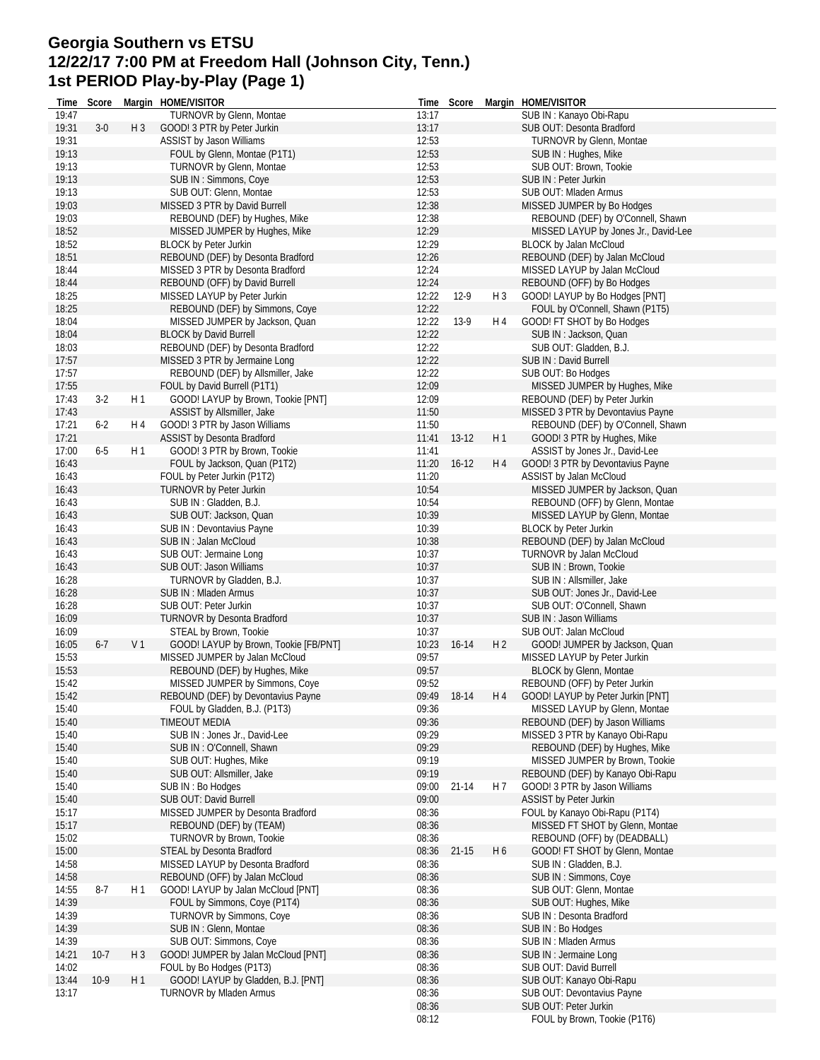#### **Georgia Southern vs ETSU 12/22/17 7:00 PM at Freedom Hall (Johnson City, Tenn.) 1st PERIOD Play-by-Play (Page 1)**

| TURNOVR by Glenn, Montae<br>SUB IN: Kanayo Obi-Rapu<br>19:47<br>13:17<br>13:17<br>19:31<br>$3-0$<br>GOOD! 3 PTR by Peter Jurkin<br>SUB OUT: Desonta Bradford<br>H <sub>3</sub><br>19:31<br>12:53<br>ASSIST by Jason Williams<br>TURNOVR by Glenn, Montae<br>19:13<br>12:53<br>FOUL by Glenn, Montae (P1T1)<br>SUB IN: Hughes, Mike<br>12:53<br>19:13<br>TURNOVR by Glenn, Montae<br>SUB OUT: Brown, Tookie<br>19:13<br>SUB IN: Simmons, Coye<br>12:53<br>SUB IN : Peter Jurkin<br>19:13<br>SUB OUT: Glenn, Montae<br>12:53<br>SUB OUT: Mladen Armus<br>19:03<br>12:38<br>MISSED 3 PTR by David Burrell<br>MISSED JUMPER by Bo Hodges<br>19:03<br>12:38<br>REBOUND (DEF) by O'Connell, Shawn<br>REBOUND (DEF) by Hughes, Mike<br>12:29<br>18:52<br>MISSED JUMPER by Hughes, Mike<br>MISSED LAYUP by Jones Jr., David-Lee<br>18:52<br><b>BLOCK by Peter Jurkin</b><br>12:29<br>BLOCK by Jalan McCloud<br>18:51<br>12:26<br>REBOUND (DEF) by Desonta Bradford<br>REBOUND (DEF) by Jalan McCloud<br>18:44<br>MISSED 3 PTR by Desonta Bradford<br>12:24<br>MISSED LAYUP by Jalan McCloud<br>REBOUND (OFF) by David Burrell<br>12:24<br>REBOUND (OFF) by Bo Hodges<br>18:44<br>18:25<br>12:22<br>$12-9$<br>H <sub>3</sub><br>MISSED LAYUP by Peter Jurkin<br>GOOD! LAYUP by Bo Hodges [PNT]<br>18:25<br>12:22<br>FOUL by O'Connell, Shawn (P1T5)<br>REBOUND (DEF) by Simmons, Coye<br>18:04<br>12:22<br>H 4<br>GOOD! FT SHOT by Bo Hodges<br>MISSED JUMPER by Jackson, Quan<br>$13-9$<br>18:04<br><b>BLOCK by David Burrell</b><br>12:22<br>SUB IN: Jackson, Quan<br>18:03<br>12:22<br>REBOUND (DEF) by Desonta Bradford<br>SUB OUT: Gladden, B.J.<br>12:22<br>17:57<br>MISSED 3 PTR by Jermaine Long<br>SUB IN: David Burrell<br>17:57<br>12:22<br>REBOUND (DEF) by Allsmiller, Jake<br>SUB OUT: Bo Hodges<br>17:55<br>FOUL by David Burrell (P1T1)<br>12:09<br>MISSED JUMPER by Hughes, Mike<br>$3-2$<br>17:43<br>H1<br>GOOD! LAYUP by Brown, Tookie [PNT]<br>12:09<br>REBOUND (DEF) by Peter Jurkin<br>17:43<br>11:50<br>ASSIST by Allsmiller, Jake<br>MISSED 3 PTR by Devontavius Payne<br>17:21<br>$6 - 2$<br>GOOD! 3 PTR by Jason Williams<br>11:50<br>H 4<br>REBOUND (DEF) by O'Connell, Shawn<br>17:21<br><b>ASSIST by Desonta Bradford</b><br>11:41<br>$13-12$<br>H <sub>1</sub><br>GOOD! 3 PTR by Hughes, Mike<br>17:00<br>$6-5$<br>H <sub>1</sub><br>GOOD! 3 PTR by Brown, Tookie<br>11:41<br>ASSIST by Jones Jr., David-Lee<br>H4<br>GOOD! 3 PTR by Devontavius Payne<br>16:43<br>FOUL by Jackson, Quan (P1T2)<br>11:20<br>$16-12$<br>16:43<br>FOUL by Peter Jurkin (P1T2)<br>11:20<br>ASSIST by Jalan McCloud<br>16:43<br>TURNOVR by Peter Jurkin<br>10:54<br>MISSED JUMPER by Jackson, Quan<br>16:43<br>SUB IN: Gladden, B.J.<br>10:54<br>REBOUND (OFF) by Glenn, Montae<br>10:39<br>16:43<br>SUB OUT: Jackson, Quan<br>MISSED LAYUP by Glenn, Montae<br>16:43<br>10:39<br>SUB IN: Devontavius Payne<br><b>BLOCK by Peter Jurkin</b><br>16:43<br>SUB IN: Jalan McCloud<br>10:38<br>REBOUND (DEF) by Jalan McCloud<br>16:43<br>10:37<br>TURNOVR by Jalan McCloud<br>SUB OUT: Jermaine Long<br>16:43<br>10:37<br>SUB IN : Brown, Tookie<br>SUB OUT: Jason Williams<br>16:28<br>10:37<br>TURNOVR by Gladden, B.J.<br>SUB IN: Allsmiller, Jake<br>16:28<br>10:37<br>SUB IN: Mladen Armus<br>SUB OUT: Jones Jr., David-Lee<br>16:28<br>SUB OUT: Peter Jurkin<br>10:37<br>SUB OUT: O'Connell, Shawn<br>16:09<br>10:37<br><b>TURNOVR by Desonta Bradford</b><br>SUB IN: Jason Williams<br>16:09<br>10:37<br>SUB OUT: Jalan McCloud<br>STEAL by Brown, Tookie<br>16:05<br>$6 - 7$<br>V <sub>1</sub><br>GOOD! LAYUP by Brown, Tookie [FB/PNT]<br>10:23<br>H <sub>2</sub><br>16-14<br>GOOD! JUMPER by Jackson, Quan<br>15:53<br>MISSED JUMPER by Jalan McCloud<br>09:57<br>MISSED LAYUP by Peter Jurkin<br>15:53<br>09:57<br>REBOUND (DEF) by Hughes, Mike<br><b>BLOCK by Glenn, Montae</b><br>15:42<br>09:52<br>REBOUND (OFF) by Peter Jurkin<br>MISSED JUMPER by Simmons, Coye<br>15:42<br>REBOUND (DEF) by Devontavius Payne<br>09:49<br>18-14<br>H4 GOOD! LAYUP by Peter Jurkin [PNT]<br>FOUL by Gladden, B.J. (P1T3)<br>MISSED LAYUP by Glenn, Montae<br>15:40<br>09:36<br>15:40<br><b>TIMEOUT MEDIA</b><br>09:36<br>REBOUND (DEF) by Jason Williams<br>15:40<br>09:29<br>MISSED 3 PTR by Kanayo Obi-Rapu<br>SUB IN: Jones Jr., David-Lee<br>15:40<br>SUB IN: O'Connell, Shawn<br>09:29<br>REBOUND (DEF) by Hughes, Mike<br>15:40<br>09:19<br>MISSED JUMPER by Brown, Tookie<br>SUB OUT: Hughes, Mike<br>15:40<br>SUB OUT: Allsmiller, Jake<br>09:19<br>REBOUND (DEF) by Kanayo Obi-Rapu<br>15:40<br>SUB IN: Bo Hodges<br>09:00<br>$21 - 14$<br>H 7<br>GOOD! 3 PTR by Jason Williams<br>15:40<br><b>SUB OUT: David Burrell</b><br>09:00<br><b>ASSIST by Peter Jurkin</b><br>MISSED JUMPER by Desonta Bradford<br>08:36<br>FOUL by Kanayo Obi-Rapu (P1T4)<br>15:17<br>15:17<br>REBOUND (DEF) by (TEAM)<br>08:36<br>MISSED FT SHOT by Glenn, Montae<br>15:02<br>TURNOVR by Brown, Tookie<br>08:36<br>REBOUND (OFF) by (DEADBALL)<br>15:00<br>STEAL by Desonta Bradford<br>08:36<br>$21 - 15$<br>H <sub>6</sub><br>GOOD! FT SHOT by Glenn, Montae<br>SUB IN: Gladden, B.J.<br>14:58<br>MISSED LAYUP by Desonta Bradford<br>08:36<br>14:58<br>REBOUND (OFF) by Jalan McCloud<br>08:36<br>SUB IN: Simmons, Coye<br>14:55<br>$8-7$<br>H 1<br>GOOD! LAYUP by Jalan McCloud [PNT]<br>08:36<br>SUB OUT: Glenn, Montae<br>14:39<br>08:36<br>SUB OUT: Hughes, Mike<br>FOUL by Simmons, Coye (P1T4)<br>14:39<br>TURNOVR by Simmons, Coye<br>08:36<br>SUB IN: Desonta Bradford<br>14:39<br>SUB IN: Glenn, Montae<br>08:36<br>SUB IN: Bo Hodges<br>14:39<br>SUB OUT: Simmons, Coye<br>08:36<br>SUB IN : Mladen Armus<br>08:36<br>14:21<br>$10-7$<br>H <sub>3</sub><br>GOOD! JUMPER by Jalan McCloud [PNT]<br>SUB IN : Jermaine Long<br>14:02<br>08:36<br>SUB OUT: David Burrell<br>FOUL by Bo Hodges (P1T3)<br>GOOD! LAYUP by Gladden, B.J. [PNT]<br>13:44<br>08:36<br>SUB OUT: Kanayo Obi-Rapu<br>$10-9$<br>H 1<br>13:17<br>08:36<br><b>TURNOVR by Mladen Armus</b><br>SUB OUT: Devontavius Payne<br>08:36<br>SUB OUT: Peter Jurkin<br>08:12<br>FOUL by Brown, Tookie (P1T6) | Time | Score | Margin HOME/VISITOR | Time | Score | Margin HOME/VISITOR |
|--------------------------------------------------------------------------------------------------------------------------------------------------------------------------------------------------------------------------------------------------------------------------------------------------------------------------------------------------------------------------------------------------------------------------------------------------------------------------------------------------------------------------------------------------------------------------------------------------------------------------------------------------------------------------------------------------------------------------------------------------------------------------------------------------------------------------------------------------------------------------------------------------------------------------------------------------------------------------------------------------------------------------------------------------------------------------------------------------------------------------------------------------------------------------------------------------------------------------------------------------------------------------------------------------------------------------------------------------------------------------------------------------------------------------------------------------------------------------------------------------------------------------------------------------------------------------------------------------------------------------------------------------------------------------------------------------------------------------------------------------------------------------------------------------------------------------------------------------------------------------------------------------------------------------------------------------------------------------------------------------------------------------------------------------------------------------------------------------------------------------------------------------------------------------------------------------------------------------------------------------------------------------------------------------------------------------------------------------------------------------------------------------------------------------------------------------------------------------------------------------------------------------------------------------------------------------------------------------------------------------------------------------------------------------------------------------------------------------------------------------------------------------------------------------------------------------------------------------------------------------------------------------------------------------------------------------------------------------------------------------------------------------------------------------------------------------------------------------------------------------------------------------------------------------------------------------------------------------------------------------------------------------------------------------------------------------------------------------------------------------------------------------------------------------------------------------------------------------------------------------------------------------------------------------------------------------------------------------------------------------------------------------------------------------------------------------------------------------------------------------------------------------------------------------------------------------------------------------------------------------------------------------------------------------------------------------------------------------------------------------------------------------------------------------------------------------------------------------------------------------------------------------------------------------------------------------------------------------------------------------------------------------------------------------------------------------------------------------------------------------------------------------------------------------------------------------------------------------------------------------------------------------------------------------------------------------------------------------------------------------------------------------------------------------------------------------------------------------------------------------------------------------------------------------------------------------------------------------------------------------------------------------------------------------------------------------------------------------------------------------------------------------------------------------------------------------------------------------------------------------------------------------------------------------------------------------------------------------------------------------------------------------------------------------------------------------------------------------------------------------------------------------------------------------------------------------------------------------------------------------------------------------------------------------------------------------------------------------------------------------------------------------------------------------------------------------------------------------------------------------------------------------------------------------------------------------------------------------------------------------------------------------------------------------------------------------------------------------------------------------------------------------------------------------------------------------------------------------------------------------------------------------------------------|------|-------|---------------------|------|-------|---------------------|
|                                                                                                                                                                                                                                                                                                                                                                                                                                                                                                                                                                                                                                                                                                                                                                                                                                                                                                                                                                                                                                                                                                                                                                                                                                                                                                                                                                                                                                                                                                                                                                                                                                                                                                                                                                                                                                                                                                                                                                                                                                                                                                                                                                                                                                                                                                                                                                                                                                                                                                                                                                                                                                                                                                                                                                                                                                                                                                                                                                                                                                                                                                                                                                                                                                                                                                                                                                                                                                                                                                                                                                                                                                                                                                                                                                                                                                                                                                                                                                                                                                                                                                                                                                                                                                                                                                                                                                                                                                                                                                                                                                                                                                                                                                                                                                                                                                                                                                                                                                                                                                                                                                                                                                                                                                                                                                                                                                                                                                                                                                                                                                                                                                                                                                                                                                                                                                                                                                                                                                                                                                                                                                                                                                    |      |       |                     |      |       |                     |
|                                                                                                                                                                                                                                                                                                                                                                                                                                                                                                                                                                                                                                                                                                                                                                                                                                                                                                                                                                                                                                                                                                                                                                                                                                                                                                                                                                                                                                                                                                                                                                                                                                                                                                                                                                                                                                                                                                                                                                                                                                                                                                                                                                                                                                                                                                                                                                                                                                                                                                                                                                                                                                                                                                                                                                                                                                                                                                                                                                                                                                                                                                                                                                                                                                                                                                                                                                                                                                                                                                                                                                                                                                                                                                                                                                                                                                                                                                                                                                                                                                                                                                                                                                                                                                                                                                                                                                                                                                                                                                                                                                                                                                                                                                                                                                                                                                                                                                                                                                                                                                                                                                                                                                                                                                                                                                                                                                                                                                                                                                                                                                                                                                                                                                                                                                                                                                                                                                                                                                                                                                                                                                                                                                    |      |       |                     |      |       |                     |
|                                                                                                                                                                                                                                                                                                                                                                                                                                                                                                                                                                                                                                                                                                                                                                                                                                                                                                                                                                                                                                                                                                                                                                                                                                                                                                                                                                                                                                                                                                                                                                                                                                                                                                                                                                                                                                                                                                                                                                                                                                                                                                                                                                                                                                                                                                                                                                                                                                                                                                                                                                                                                                                                                                                                                                                                                                                                                                                                                                                                                                                                                                                                                                                                                                                                                                                                                                                                                                                                                                                                                                                                                                                                                                                                                                                                                                                                                                                                                                                                                                                                                                                                                                                                                                                                                                                                                                                                                                                                                                                                                                                                                                                                                                                                                                                                                                                                                                                                                                                                                                                                                                                                                                                                                                                                                                                                                                                                                                                                                                                                                                                                                                                                                                                                                                                                                                                                                                                                                                                                                                                                                                                                                                    |      |       |                     |      |       |                     |
|                                                                                                                                                                                                                                                                                                                                                                                                                                                                                                                                                                                                                                                                                                                                                                                                                                                                                                                                                                                                                                                                                                                                                                                                                                                                                                                                                                                                                                                                                                                                                                                                                                                                                                                                                                                                                                                                                                                                                                                                                                                                                                                                                                                                                                                                                                                                                                                                                                                                                                                                                                                                                                                                                                                                                                                                                                                                                                                                                                                                                                                                                                                                                                                                                                                                                                                                                                                                                                                                                                                                                                                                                                                                                                                                                                                                                                                                                                                                                                                                                                                                                                                                                                                                                                                                                                                                                                                                                                                                                                                                                                                                                                                                                                                                                                                                                                                                                                                                                                                                                                                                                                                                                                                                                                                                                                                                                                                                                                                                                                                                                                                                                                                                                                                                                                                                                                                                                                                                                                                                                                                                                                                                                                    |      |       |                     |      |       |                     |
|                                                                                                                                                                                                                                                                                                                                                                                                                                                                                                                                                                                                                                                                                                                                                                                                                                                                                                                                                                                                                                                                                                                                                                                                                                                                                                                                                                                                                                                                                                                                                                                                                                                                                                                                                                                                                                                                                                                                                                                                                                                                                                                                                                                                                                                                                                                                                                                                                                                                                                                                                                                                                                                                                                                                                                                                                                                                                                                                                                                                                                                                                                                                                                                                                                                                                                                                                                                                                                                                                                                                                                                                                                                                                                                                                                                                                                                                                                                                                                                                                                                                                                                                                                                                                                                                                                                                                                                                                                                                                                                                                                                                                                                                                                                                                                                                                                                                                                                                                                                                                                                                                                                                                                                                                                                                                                                                                                                                                                                                                                                                                                                                                                                                                                                                                                                                                                                                                                                                                                                                                                                                                                                                                                    |      |       |                     |      |       |                     |
|                                                                                                                                                                                                                                                                                                                                                                                                                                                                                                                                                                                                                                                                                                                                                                                                                                                                                                                                                                                                                                                                                                                                                                                                                                                                                                                                                                                                                                                                                                                                                                                                                                                                                                                                                                                                                                                                                                                                                                                                                                                                                                                                                                                                                                                                                                                                                                                                                                                                                                                                                                                                                                                                                                                                                                                                                                                                                                                                                                                                                                                                                                                                                                                                                                                                                                                                                                                                                                                                                                                                                                                                                                                                                                                                                                                                                                                                                                                                                                                                                                                                                                                                                                                                                                                                                                                                                                                                                                                                                                                                                                                                                                                                                                                                                                                                                                                                                                                                                                                                                                                                                                                                                                                                                                                                                                                                                                                                                                                                                                                                                                                                                                                                                                                                                                                                                                                                                                                                                                                                                                                                                                                                                                    |      |       |                     |      |       |                     |
|                                                                                                                                                                                                                                                                                                                                                                                                                                                                                                                                                                                                                                                                                                                                                                                                                                                                                                                                                                                                                                                                                                                                                                                                                                                                                                                                                                                                                                                                                                                                                                                                                                                                                                                                                                                                                                                                                                                                                                                                                                                                                                                                                                                                                                                                                                                                                                                                                                                                                                                                                                                                                                                                                                                                                                                                                                                                                                                                                                                                                                                                                                                                                                                                                                                                                                                                                                                                                                                                                                                                                                                                                                                                                                                                                                                                                                                                                                                                                                                                                                                                                                                                                                                                                                                                                                                                                                                                                                                                                                                                                                                                                                                                                                                                                                                                                                                                                                                                                                                                                                                                                                                                                                                                                                                                                                                                                                                                                                                                                                                                                                                                                                                                                                                                                                                                                                                                                                                                                                                                                                                                                                                                                                    |      |       |                     |      |       |                     |
|                                                                                                                                                                                                                                                                                                                                                                                                                                                                                                                                                                                                                                                                                                                                                                                                                                                                                                                                                                                                                                                                                                                                                                                                                                                                                                                                                                                                                                                                                                                                                                                                                                                                                                                                                                                                                                                                                                                                                                                                                                                                                                                                                                                                                                                                                                                                                                                                                                                                                                                                                                                                                                                                                                                                                                                                                                                                                                                                                                                                                                                                                                                                                                                                                                                                                                                                                                                                                                                                                                                                                                                                                                                                                                                                                                                                                                                                                                                                                                                                                                                                                                                                                                                                                                                                                                                                                                                                                                                                                                                                                                                                                                                                                                                                                                                                                                                                                                                                                                                                                                                                                                                                                                                                                                                                                                                                                                                                                                                                                                                                                                                                                                                                                                                                                                                                                                                                                                                                                                                                                                                                                                                                                                    |      |       |                     |      |       |                     |
|                                                                                                                                                                                                                                                                                                                                                                                                                                                                                                                                                                                                                                                                                                                                                                                                                                                                                                                                                                                                                                                                                                                                                                                                                                                                                                                                                                                                                                                                                                                                                                                                                                                                                                                                                                                                                                                                                                                                                                                                                                                                                                                                                                                                                                                                                                                                                                                                                                                                                                                                                                                                                                                                                                                                                                                                                                                                                                                                                                                                                                                                                                                                                                                                                                                                                                                                                                                                                                                                                                                                                                                                                                                                                                                                                                                                                                                                                                                                                                                                                                                                                                                                                                                                                                                                                                                                                                                                                                                                                                                                                                                                                                                                                                                                                                                                                                                                                                                                                                                                                                                                                                                                                                                                                                                                                                                                                                                                                                                                                                                                                                                                                                                                                                                                                                                                                                                                                                                                                                                                                                                                                                                                                                    |      |       |                     |      |       |                     |
|                                                                                                                                                                                                                                                                                                                                                                                                                                                                                                                                                                                                                                                                                                                                                                                                                                                                                                                                                                                                                                                                                                                                                                                                                                                                                                                                                                                                                                                                                                                                                                                                                                                                                                                                                                                                                                                                                                                                                                                                                                                                                                                                                                                                                                                                                                                                                                                                                                                                                                                                                                                                                                                                                                                                                                                                                                                                                                                                                                                                                                                                                                                                                                                                                                                                                                                                                                                                                                                                                                                                                                                                                                                                                                                                                                                                                                                                                                                                                                                                                                                                                                                                                                                                                                                                                                                                                                                                                                                                                                                                                                                                                                                                                                                                                                                                                                                                                                                                                                                                                                                                                                                                                                                                                                                                                                                                                                                                                                                                                                                                                                                                                                                                                                                                                                                                                                                                                                                                                                                                                                                                                                                                                                    |      |       |                     |      |       |                     |
|                                                                                                                                                                                                                                                                                                                                                                                                                                                                                                                                                                                                                                                                                                                                                                                                                                                                                                                                                                                                                                                                                                                                                                                                                                                                                                                                                                                                                                                                                                                                                                                                                                                                                                                                                                                                                                                                                                                                                                                                                                                                                                                                                                                                                                                                                                                                                                                                                                                                                                                                                                                                                                                                                                                                                                                                                                                                                                                                                                                                                                                                                                                                                                                                                                                                                                                                                                                                                                                                                                                                                                                                                                                                                                                                                                                                                                                                                                                                                                                                                                                                                                                                                                                                                                                                                                                                                                                                                                                                                                                                                                                                                                                                                                                                                                                                                                                                                                                                                                                                                                                                                                                                                                                                                                                                                                                                                                                                                                                                                                                                                                                                                                                                                                                                                                                                                                                                                                                                                                                                                                                                                                                                                                    |      |       |                     |      |       |                     |
|                                                                                                                                                                                                                                                                                                                                                                                                                                                                                                                                                                                                                                                                                                                                                                                                                                                                                                                                                                                                                                                                                                                                                                                                                                                                                                                                                                                                                                                                                                                                                                                                                                                                                                                                                                                                                                                                                                                                                                                                                                                                                                                                                                                                                                                                                                                                                                                                                                                                                                                                                                                                                                                                                                                                                                                                                                                                                                                                                                                                                                                                                                                                                                                                                                                                                                                                                                                                                                                                                                                                                                                                                                                                                                                                                                                                                                                                                                                                                                                                                                                                                                                                                                                                                                                                                                                                                                                                                                                                                                                                                                                                                                                                                                                                                                                                                                                                                                                                                                                                                                                                                                                                                                                                                                                                                                                                                                                                                                                                                                                                                                                                                                                                                                                                                                                                                                                                                                                                                                                                                                                                                                                                                                    |      |       |                     |      |       |                     |
|                                                                                                                                                                                                                                                                                                                                                                                                                                                                                                                                                                                                                                                                                                                                                                                                                                                                                                                                                                                                                                                                                                                                                                                                                                                                                                                                                                                                                                                                                                                                                                                                                                                                                                                                                                                                                                                                                                                                                                                                                                                                                                                                                                                                                                                                                                                                                                                                                                                                                                                                                                                                                                                                                                                                                                                                                                                                                                                                                                                                                                                                                                                                                                                                                                                                                                                                                                                                                                                                                                                                                                                                                                                                                                                                                                                                                                                                                                                                                                                                                                                                                                                                                                                                                                                                                                                                                                                                                                                                                                                                                                                                                                                                                                                                                                                                                                                                                                                                                                                                                                                                                                                                                                                                                                                                                                                                                                                                                                                                                                                                                                                                                                                                                                                                                                                                                                                                                                                                                                                                                                                                                                                                                                    |      |       |                     |      |       |                     |
|                                                                                                                                                                                                                                                                                                                                                                                                                                                                                                                                                                                                                                                                                                                                                                                                                                                                                                                                                                                                                                                                                                                                                                                                                                                                                                                                                                                                                                                                                                                                                                                                                                                                                                                                                                                                                                                                                                                                                                                                                                                                                                                                                                                                                                                                                                                                                                                                                                                                                                                                                                                                                                                                                                                                                                                                                                                                                                                                                                                                                                                                                                                                                                                                                                                                                                                                                                                                                                                                                                                                                                                                                                                                                                                                                                                                                                                                                                                                                                                                                                                                                                                                                                                                                                                                                                                                                                                                                                                                                                                                                                                                                                                                                                                                                                                                                                                                                                                                                                                                                                                                                                                                                                                                                                                                                                                                                                                                                                                                                                                                                                                                                                                                                                                                                                                                                                                                                                                                                                                                                                                                                                                                                                    |      |       |                     |      |       |                     |
|                                                                                                                                                                                                                                                                                                                                                                                                                                                                                                                                                                                                                                                                                                                                                                                                                                                                                                                                                                                                                                                                                                                                                                                                                                                                                                                                                                                                                                                                                                                                                                                                                                                                                                                                                                                                                                                                                                                                                                                                                                                                                                                                                                                                                                                                                                                                                                                                                                                                                                                                                                                                                                                                                                                                                                                                                                                                                                                                                                                                                                                                                                                                                                                                                                                                                                                                                                                                                                                                                                                                                                                                                                                                                                                                                                                                                                                                                                                                                                                                                                                                                                                                                                                                                                                                                                                                                                                                                                                                                                                                                                                                                                                                                                                                                                                                                                                                                                                                                                                                                                                                                                                                                                                                                                                                                                                                                                                                                                                                                                                                                                                                                                                                                                                                                                                                                                                                                                                                                                                                                                                                                                                                                                    |      |       |                     |      |       |                     |
|                                                                                                                                                                                                                                                                                                                                                                                                                                                                                                                                                                                                                                                                                                                                                                                                                                                                                                                                                                                                                                                                                                                                                                                                                                                                                                                                                                                                                                                                                                                                                                                                                                                                                                                                                                                                                                                                                                                                                                                                                                                                                                                                                                                                                                                                                                                                                                                                                                                                                                                                                                                                                                                                                                                                                                                                                                                                                                                                                                                                                                                                                                                                                                                                                                                                                                                                                                                                                                                                                                                                                                                                                                                                                                                                                                                                                                                                                                                                                                                                                                                                                                                                                                                                                                                                                                                                                                                                                                                                                                                                                                                                                                                                                                                                                                                                                                                                                                                                                                                                                                                                                                                                                                                                                                                                                                                                                                                                                                                                                                                                                                                                                                                                                                                                                                                                                                                                                                                                                                                                                                                                                                                                                                    |      |       |                     |      |       |                     |
|                                                                                                                                                                                                                                                                                                                                                                                                                                                                                                                                                                                                                                                                                                                                                                                                                                                                                                                                                                                                                                                                                                                                                                                                                                                                                                                                                                                                                                                                                                                                                                                                                                                                                                                                                                                                                                                                                                                                                                                                                                                                                                                                                                                                                                                                                                                                                                                                                                                                                                                                                                                                                                                                                                                                                                                                                                                                                                                                                                                                                                                                                                                                                                                                                                                                                                                                                                                                                                                                                                                                                                                                                                                                                                                                                                                                                                                                                                                                                                                                                                                                                                                                                                                                                                                                                                                                                                                                                                                                                                                                                                                                                                                                                                                                                                                                                                                                                                                                                                                                                                                                                                                                                                                                                                                                                                                                                                                                                                                                                                                                                                                                                                                                                                                                                                                                                                                                                                                                                                                                                                                                                                                                                                    |      |       |                     |      |       |                     |
|                                                                                                                                                                                                                                                                                                                                                                                                                                                                                                                                                                                                                                                                                                                                                                                                                                                                                                                                                                                                                                                                                                                                                                                                                                                                                                                                                                                                                                                                                                                                                                                                                                                                                                                                                                                                                                                                                                                                                                                                                                                                                                                                                                                                                                                                                                                                                                                                                                                                                                                                                                                                                                                                                                                                                                                                                                                                                                                                                                                                                                                                                                                                                                                                                                                                                                                                                                                                                                                                                                                                                                                                                                                                                                                                                                                                                                                                                                                                                                                                                                                                                                                                                                                                                                                                                                                                                                                                                                                                                                                                                                                                                                                                                                                                                                                                                                                                                                                                                                                                                                                                                                                                                                                                                                                                                                                                                                                                                                                                                                                                                                                                                                                                                                                                                                                                                                                                                                                                                                                                                                                                                                                                                                    |      |       |                     |      |       |                     |
|                                                                                                                                                                                                                                                                                                                                                                                                                                                                                                                                                                                                                                                                                                                                                                                                                                                                                                                                                                                                                                                                                                                                                                                                                                                                                                                                                                                                                                                                                                                                                                                                                                                                                                                                                                                                                                                                                                                                                                                                                                                                                                                                                                                                                                                                                                                                                                                                                                                                                                                                                                                                                                                                                                                                                                                                                                                                                                                                                                                                                                                                                                                                                                                                                                                                                                                                                                                                                                                                                                                                                                                                                                                                                                                                                                                                                                                                                                                                                                                                                                                                                                                                                                                                                                                                                                                                                                                                                                                                                                                                                                                                                                                                                                                                                                                                                                                                                                                                                                                                                                                                                                                                                                                                                                                                                                                                                                                                                                                                                                                                                                                                                                                                                                                                                                                                                                                                                                                                                                                                                                                                                                                                                                    |      |       |                     |      |       |                     |
|                                                                                                                                                                                                                                                                                                                                                                                                                                                                                                                                                                                                                                                                                                                                                                                                                                                                                                                                                                                                                                                                                                                                                                                                                                                                                                                                                                                                                                                                                                                                                                                                                                                                                                                                                                                                                                                                                                                                                                                                                                                                                                                                                                                                                                                                                                                                                                                                                                                                                                                                                                                                                                                                                                                                                                                                                                                                                                                                                                                                                                                                                                                                                                                                                                                                                                                                                                                                                                                                                                                                                                                                                                                                                                                                                                                                                                                                                                                                                                                                                                                                                                                                                                                                                                                                                                                                                                                                                                                                                                                                                                                                                                                                                                                                                                                                                                                                                                                                                                                                                                                                                                                                                                                                                                                                                                                                                                                                                                                                                                                                                                                                                                                                                                                                                                                                                                                                                                                                                                                                                                                                                                                                                                    |      |       |                     |      |       |                     |
|                                                                                                                                                                                                                                                                                                                                                                                                                                                                                                                                                                                                                                                                                                                                                                                                                                                                                                                                                                                                                                                                                                                                                                                                                                                                                                                                                                                                                                                                                                                                                                                                                                                                                                                                                                                                                                                                                                                                                                                                                                                                                                                                                                                                                                                                                                                                                                                                                                                                                                                                                                                                                                                                                                                                                                                                                                                                                                                                                                                                                                                                                                                                                                                                                                                                                                                                                                                                                                                                                                                                                                                                                                                                                                                                                                                                                                                                                                                                                                                                                                                                                                                                                                                                                                                                                                                                                                                                                                                                                                                                                                                                                                                                                                                                                                                                                                                                                                                                                                                                                                                                                                                                                                                                                                                                                                                                                                                                                                                                                                                                                                                                                                                                                                                                                                                                                                                                                                                                                                                                                                                                                                                                                                    |      |       |                     |      |       |                     |
|                                                                                                                                                                                                                                                                                                                                                                                                                                                                                                                                                                                                                                                                                                                                                                                                                                                                                                                                                                                                                                                                                                                                                                                                                                                                                                                                                                                                                                                                                                                                                                                                                                                                                                                                                                                                                                                                                                                                                                                                                                                                                                                                                                                                                                                                                                                                                                                                                                                                                                                                                                                                                                                                                                                                                                                                                                                                                                                                                                                                                                                                                                                                                                                                                                                                                                                                                                                                                                                                                                                                                                                                                                                                                                                                                                                                                                                                                                                                                                                                                                                                                                                                                                                                                                                                                                                                                                                                                                                                                                                                                                                                                                                                                                                                                                                                                                                                                                                                                                                                                                                                                                                                                                                                                                                                                                                                                                                                                                                                                                                                                                                                                                                                                                                                                                                                                                                                                                                                                                                                                                                                                                                                                                    |      |       |                     |      |       |                     |
|                                                                                                                                                                                                                                                                                                                                                                                                                                                                                                                                                                                                                                                                                                                                                                                                                                                                                                                                                                                                                                                                                                                                                                                                                                                                                                                                                                                                                                                                                                                                                                                                                                                                                                                                                                                                                                                                                                                                                                                                                                                                                                                                                                                                                                                                                                                                                                                                                                                                                                                                                                                                                                                                                                                                                                                                                                                                                                                                                                                                                                                                                                                                                                                                                                                                                                                                                                                                                                                                                                                                                                                                                                                                                                                                                                                                                                                                                                                                                                                                                                                                                                                                                                                                                                                                                                                                                                                                                                                                                                                                                                                                                                                                                                                                                                                                                                                                                                                                                                                                                                                                                                                                                                                                                                                                                                                                                                                                                                                                                                                                                                                                                                                                                                                                                                                                                                                                                                                                                                                                                                                                                                                                                                    |      |       |                     |      |       |                     |
|                                                                                                                                                                                                                                                                                                                                                                                                                                                                                                                                                                                                                                                                                                                                                                                                                                                                                                                                                                                                                                                                                                                                                                                                                                                                                                                                                                                                                                                                                                                                                                                                                                                                                                                                                                                                                                                                                                                                                                                                                                                                                                                                                                                                                                                                                                                                                                                                                                                                                                                                                                                                                                                                                                                                                                                                                                                                                                                                                                                                                                                                                                                                                                                                                                                                                                                                                                                                                                                                                                                                                                                                                                                                                                                                                                                                                                                                                                                                                                                                                                                                                                                                                                                                                                                                                                                                                                                                                                                                                                                                                                                                                                                                                                                                                                                                                                                                                                                                                                                                                                                                                                                                                                                                                                                                                                                                                                                                                                                                                                                                                                                                                                                                                                                                                                                                                                                                                                                                                                                                                                                                                                                                                                    |      |       |                     |      |       |                     |
|                                                                                                                                                                                                                                                                                                                                                                                                                                                                                                                                                                                                                                                                                                                                                                                                                                                                                                                                                                                                                                                                                                                                                                                                                                                                                                                                                                                                                                                                                                                                                                                                                                                                                                                                                                                                                                                                                                                                                                                                                                                                                                                                                                                                                                                                                                                                                                                                                                                                                                                                                                                                                                                                                                                                                                                                                                                                                                                                                                                                                                                                                                                                                                                                                                                                                                                                                                                                                                                                                                                                                                                                                                                                                                                                                                                                                                                                                                                                                                                                                                                                                                                                                                                                                                                                                                                                                                                                                                                                                                                                                                                                                                                                                                                                                                                                                                                                                                                                                                                                                                                                                                                                                                                                                                                                                                                                                                                                                                                                                                                                                                                                                                                                                                                                                                                                                                                                                                                                                                                                                                                                                                                                                                    |      |       |                     |      |       |                     |
|                                                                                                                                                                                                                                                                                                                                                                                                                                                                                                                                                                                                                                                                                                                                                                                                                                                                                                                                                                                                                                                                                                                                                                                                                                                                                                                                                                                                                                                                                                                                                                                                                                                                                                                                                                                                                                                                                                                                                                                                                                                                                                                                                                                                                                                                                                                                                                                                                                                                                                                                                                                                                                                                                                                                                                                                                                                                                                                                                                                                                                                                                                                                                                                                                                                                                                                                                                                                                                                                                                                                                                                                                                                                                                                                                                                                                                                                                                                                                                                                                                                                                                                                                                                                                                                                                                                                                                                                                                                                                                                                                                                                                                                                                                                                                                                                                                                                                                                                                                                                                                                                                                                                                                                                                                                                                                                                                                                                                                                                                                                                                                                                                                                                                                                                                                                                                                                                                                                                                                                                                                                                                                                                                                    |      |       |                     |      |       |                     |
|                                                                                                                                                                                                                                                                                                                                                                                                                                                                                                                                                                                                                                                                                                                                                                                                                                                                                                                                                                                                                                                                                                                                                                                                                                                                                                                                                                                                                                                                                                                                                                                                                                                                                                                                                                                                                                                                                                                                                                                                                                                                                                                                                                                                                                                                                                                                                                                                                                                                                                                                                                                                                                                                                                                                                                                                                                                                                                                                                                                                                                                                                                                                                                                                                                                                                                                                                                                                                                                                                                                                                                                                                                                                                                                                                                                                                                                                                                                                                                                                                                                                                                                                                                                                                                                                                                                                                                                                                                                                                                                                                                                                                                                                                                                                                                                                                                                                                                                                                                                                                                                                                                                                                                                                                                                                                                                                                                                                                                                                                                                                                                                                                                                                                                                                                                                                                                                                                                                                                                                                                                                                                                                                                                    |      |       |                     |      |       |                     |
|                                                                                                                                                                                                                                                                                                                                                                                                                                                                                                                                                                                                                                                                                                                                                                                                                                                                                                                                                                                                                                                                                                                                                                                                                                                                                                                                                                                                                                                                                                                                                                                                                                                                                                                                                                                                                                                                                                                                                                                                                                                                                                                                                                                                                                                                                                                                                                                                                                                                                                                                                                                                                                                                                                                                                                                                                                                                                                                                                                                                                                                                                                                                                                                                                                                                                                                                                                                                                                                                                                                                                                                                                                                                                                                                                                                                                                                                                                                                                                                                                                                                                                                                                                                                                                                                                                                                                                                                                                                                                                                                                                                                                                                                                                                                                                                                                                                                                                                                                                                                                                                                                                                                                                                                                                                                                                                                                                                                                                                                                                                                                                                                                                                                                                                                                                                                                                                                                                                                                                                                                                                                                                                                                                    |      |       |                     |      |       |                     |
|                                                                                                                                                                                                                                                                                                                                                                                                                                                                                                                                                                                                                                                                                                                                                                                                                                                                                                                                                                                                                                                                                                                                                                                                                                                                                                                                                                                                                                                                                                                                                                                                                                                                                                                                                                                                                                                                                                                                                                                                                                                                                                                                                                                                                                                                                                                                                                                                                                                                                                                                                                                                                                                                                                                                                                                                                                                                                                                                                                                                                                                                                                                                                                                                                                                                                                                                                                                                                                                                                                                                                                                                                                                                                                                                                                                                                                                                                                                                                                                                                                                                                                                                                                                                                                                                                                                                                                                                                                                                                                                                                                                                                                                                                                                                                                                                                                                                                                                                                                                                                                                                                                                                                                                                                                                                                                                                                                                                                                                                                                                                                                                                                                                                                                                                                                                                                                                                                                                                                                                                                                                                                                                                                                    |      |       |                     |      |       |                     |
|                                                                                                                                                                                                                                                                                                                                                                                                                                                                                                                                                                                                                                                                                                                                                                                                                                                                                                                                                                                                                                                                                                                                                                                                                                                                                                                                                                                                                                                                                                                                                                                                                                                                                                                                                                                                                                                                                                                                                                                                                                                                                                                                                                                                                                                                                                                                                                                                                                                                                                                                                                                                                                                                                                                                                                                                                                                                                                                                                                                                                                                                                                                                                                                                                                                                                                                                                                                                                                                                                                                                                                                                                                                                                                                                                                                                                                                                                                                                                                                                                                                                                                                                                                                                                                                                                                                                                                                                                                                                                                                                                                                                                                                                                                                                                                                                                                                                                                                                                                                                                                                                                                                                                                                                                                                                                                                                                                                                                                                                                                                                                                                                                                                                                                                                                                                                                                                                                                                                                                                                                                                                                                                                                                    |      |       |                     |      |       |                     |
|                                                                                                                                                                                                                                                                                                                                                                                                                                                                                                                                                                                                                                                                                                                                                                                                                                                                                                                                                                                                                                                                                                                                                                                                                                                                                                                                                                                                                                                                                                                                                                                                                                                                                                                                                                                                                                                                                                                                                                                                                                                                                                                                                                                                                                                                                                                                                                                                                                                                                                                                                                                                                                                                                                                                                                                                                                                                                                                                                                                                                                                                                                                                                                                                                                                                                                                                                                                                                                                                                                                                                                                                                                                                                                                                                                                                                                                                                                                                                                                                                                                                                                                                                                                                                                                                                                                                                                                                                                                                                                                                                                                                                                                                                                                                                                                                                                                                                                                                                                                                                                                                                                                                                                                                                                                                                                                                                                                                                                                                                                                                                                                                                                                                                                                                                                                                                                                                                                                                                                                                                                                                                                                                                                    |      |       |                     |      |       |                     |
|                                                                                                                                                                                                                                                                                                                                                                                                                                                                                                                                                                                                                                                                                                                                                                                                                                                                                                                                                                                                                                                                                                                                                                                                                                                                                                                                                                                                                                                                                                                                                                                                                                                                                                                                                                                                                                                                                                                                                                                                                                                                                                                                                                                                                                                                                                                                                                                                                                                                                                                                                                                                                                                                                                                                                                                                                                                                                                                                                                                                                                                                                                                                                                                                                                                                                                                                                                                                                                                                                                                                                                                                                                                                                                                                                                                                                                                                                                                                                                                                                                                                                                                                                                                                                                                                                                                                                                                                                                                                                                                                                                                                                                                                                                                                                                                                                                                                                                                                                                                                                                                                                                                                                                                                                                                                                                                                                                                                                                                                                                                                                                                                                                                                                                                                                                                                                                                                                                                                                                                                                                                                                                                                                                    |      |       |                     |      |       |                     |
|                                                                                                                                                                                                                                                                                                                                                                                                                                                                                                                                                                                                                                                                                                                                                                                                                                                                                                                                                                                                                                                                                                                                                                                                                                                                                                                                                                                                                                                                                                                                                                                                                                                                                                                                                                                                                                                                                                                                                                                                                                                                                                                                                                                                                                                                                                                                                                                                                                                                                                                                                                                                                                                                                                                                                                                                                                                                                                                                                                                                                                                                                                                                                                                                                                                                                                                                                                                                                                                                                                                                                                                                                                                                                                                                                                                                                                                                                                                                                                                                                                                                                                                                                                                                                                                                                                                                                                                                                                                                                                                                                                                                                                                                                                                                                                                                                                                                                                                                                                                                                                                                                                                                                                                                                                                                                                                                                                                                                                                                                                                                                                                                                                                                                                                                                                                                                                                                                                                                                                                                                                                                                                                                                                    |      |       |                     |      |       |                     |
|                                                                                                                                                                                                                                                                                                                                                                                                                                                                                                                                                                                                                                                                                                                                                                                                                                                                                                                                                                                                                                                                                                                                                                                                                                                                                                                                                                                                                                                                                                                                                                                                                                                                                                                                                                                                                                                                                                                                                                                                                                                                                                                                                                                                                                                                                                                                                                                                                                                                                                                                                                                                                                                                                                                                                                                                                                                                                                                                                                                                                                                                                                                                                                                                                                                                                                                                                                                                                                                                                                                                                                                                                                                                                                                                                                                                                                                                                                                                                                                                                                                                                                                                                                                                                                                                                                                                                                                                                                                                                                                                                                                                                                                                                                                                                                                                                                                                                                                                                                                                                                                                                                                                                                                                                                                                                                                                                                                                                                                                                                                                                                                                                                                                                                                                                                                                                                                                                                                                                                                                                                                                                                                                                                    |      |       |                     |      |       |                     |
|                                                                                                                                                                                                                                                                                                                                                                                                                                                                                                                                                                                                                                                                                                                                                                                                                                                                                                                                                                                                                                                                                                                                                                                                                                                                                                                                                                                                                                                                                                                                                                                                                                                                                                                                                                                                                                                                                                                                                                                                                                                                                                                                                                                                                                                                                                                                                                                                                                                                                                                                                                                                                                                                                                                                                                                                                                                                                                                                                                                                                                                                                                                                                                                                                                                                                                                                                                                                                                                                                                                                                                                                                                                                                                                                                                                                                                                                                                                                                                                                                                                                                                                                                                                                                                                                                                                                                                                                                                                                                                                                                                                                                                                                                                                                                                                                                                                                                                                                                                                                                                                                                                                                                                                                                                                                                                                                                                                                                                                                                                                                                                                                                                                                                                                                                                                                                                                                                                                                                                                                                                                                                                                                                                    |      |       |                     |      |       |                     |
|                                                                                                                                                                                                                                                                                                                                                                                                                                                                                                                                                                                                                                                                                                                                                                                                                                                                                                                                                                                                                                                                                                                                                                                                                                                                                                                                                                                                                                                                                                                                                                                                                                                                                                                                                                                                                                                                                                                                                                                                                                                                                                                                                                                                                                                                                                                                                                                                                                                                                                                                                                                                                                                                                                                                                                                                                                                                                                                                                                                                                                                                                                                                                                                                                                                                                                                                                                                                                                                                                                                                                                                                                                                                                                                                                                                                                                                                                                                                                                                                                                                                                                                                                                                                                                                                                                                                                                                                                                                                                                                                                                                                                                                                                                                                                                                                                                                                                                                                                                                                                                                                                                                                                                                                                                                                                                                                                                                                                                                                                                                                                                                                                                                                                                                                                                                                                                                                                                                                                                                                                                                                                                                                                                    |      |       |                     |      |       |                     |
|                                                                                                                                                                                                                                                                                                                                                                                                                                                                                                                                                                                                                                                                                                                                                                                                                                                                                                                                                                                                                                                                                                                                                                                                                                                                                                                                                                                                                                                                                                                                                                                                                                                                                                                                                                                                                                                                                                                                                                                                                                                                                                                                                                                                                                                                                                                                                                                                                                                                                                                                                                                                                                                                                                                                                                                                                                                                                                                                                                                                                                                                                                                                                                                                                                                                                                                                                                                                                                                                                                                                                                                                                                                                                                                                                                                                                                                                                                                                                                                                                                                                                                                                                                                                                                                                                                                                                                                                                                                                                                                                                                                                                                                                                                                                                                                                                                                                                                                                                                                                                                                                                                                                                                                                                                                                                                                                                                                                                                                                                                                                                                                                                                                                                                                                                                                                                                                                                                                                                                                                                                                                                                                                                                    |      |       |                     |      |       |                     |
|                                                                                                                                                                                                                                                                                                                                                                                                                                                                                                                                                                                                                                                                                                                                                                                                                                                                                                                                                                                                                                                                                                                                                                                                                                                                                                                                                                                                                                                                                                                                                                                                                                                                                                                                                                                                                                                                                                                                                                                                                                                                                                                                                                                                                                                                                                                                                                                                                                                                                                                                                                                                                                                                                                                                                                                                                                                                                                                                                                                                                                                                                                                                                                                                                                                                                                                                                                                                                                                                                                                                                                                                                                                                                                                                                                                                                                                                                                                                                                                                                                                                                                                                                                                                                                                                                                                                                                                                                                                                                                                                                                                                                                                                                                                                                                                                                                                                                                                                                                                                                                                                                                                                                                                                                                                                                                                                                                                                                                                                                                                                                                                                                                                                                                                                                                                                                                                                                                                                                                                                                                                                                                                                                                    |      |       |                     |      |       |                     |
|                                                                                                                                                                                                                                                                                                                                                                                                                                                                                                                                                                                                                                                                                                                                                                                                                                                                                                                                                                                                                                                                                                                                                                                                                                                                                                                                                                                                                                                                                                                                                                                                                                                                                                                                                                                                                                                                                                                                                                                                                                                                                                                                                                                                                                                                                                                                                                                                                                                                                                                                                                                                                                                                                                                                                                                                                                                                                                                                                                                                                                                                                                                                                                                                                                                                                                                                                                                                                                                                                                                                                                                                                                                                                                                                                                                                                                                                                                                                                                                                                                                                                                                                                                                                                                                                                                                                                                                                                                                                                                                                                                                                                                                                                                                                                                                                                                                                                                                                                                                                                                                                                                                                                                                                                                                                                                                                                                                                                                                                                                                                                                                                                                                                                                                                                                                                                                                                                                                                                                                                                                                                                                                                                                    |      |       |                     |      |       |                     |
|                                                                                                                                                                                                                                                                                                                                                                                                                                                                                                                                                                                                                                                                                                                                                                                                                                                                                                                                                                                                                                                                                                                                                                                                                                                                                                                                                                                                                                                                                                                                                                                                                                                                                                                                                                                                                                                                                                                                                                                                                                                                                                                                                                                                                                                                                                                                                                                                                                                                                                                                                                                                                                                                                                                                                                                                                                                                                                                                                                                                                                                                                                                                                                                                                                                                                                                                                                                                                                                                                                                                                                                                                                                                                                                                                                                                                                                                                                                                                                                                                                                                                                                                                                                                                                                                                                                                                                                                                                                                                                                                                                                                                                                                                                                                                                                                                                                                                                                                                                                                                                                                                                                                                                                                                                                                                                                                                                                                                                                                                                                                                                                                                                                                                                                                                                                                                                                                                                                                                                                                                                                                                                                                                                    |      |       |                     |      |       |                     |
|                                                                                                                                                                                                                                                                                                                                                                                                                                                                                                                                                                                                                                                                                                                                                                                                                                                                                                                                                                                                                                                                                                                                                                                                                                                                                                                                                                                                                                                                                                                                                                                                                                                                                                                                                                                                                                                                                                                                                                                                                                                                                                                                                                                                                                                                                                                                                                                                                                                                                                                                                                                                                                                                                                                                                                                                                                                                                                                                                                                                                                                                                                                                                                                                                                                                                                                                                                                                                                                                                                                                                                                                                                                                                                                                                                                                                                                                                                                                                                                                                                                                                                                                                                                                                                                                                                                                                                                                                                                                                                                                                                                                                                                                                                                                                                                                                                                                                                                                                                                                                                                                                                                                                                                                                                                                                                                                                                                                                                                                                                                                                                                                                                                                                                                                                                                                                                                                                                                                                                                                                                                                                                                                                                    |      |       |                     |      |       |                     |
|                                                                                                                                                                                                                                                                                                                                                                                                                                                                                                                                                                                                                                                                                                                                                                                                                                                                                                                                                                                                                                                                                                                                                                                                                                                                                                                                                                                                                                                                                                                                                                                                                                                                                                                                                                                                                                                                                                                                                                                                                                                                                                                                                                                                                                                                                                                                                                                                                                                                                                                                                                                                                                                                                                                                                                                                                                                                                                                                                                                                                                                                                                                                                                                                                                                                                                                                                                                                                                                                                                                                                                                                                                                                                                                                                                                                                                                                                                                                                                                                                                                                                                                                                                                                                                                                                                                                                                                                                                                                                                                                                                                                                                                                                                                                                                                                                                                                                                                                                                                                                                                                                                                                                                                                                                                                                                                                                                                                                                                                                                                                                                                                                                                                                                                                                                                                                                                                                                                                                                                                                                                                                                                                                                    |      |       |                     |      |       |                     |
|                                                                                                                                                                                                                                                                                                                                                                                                                                                                                                                                                                                                                                                                                                                                                                                                                                                                                                                                                                                                                                                                                                                                                                                                                                                                                                                                                                                                                                                                                                                                                                                                                                                                                                                                                                                                                                                                                                                                                                                                                                                                                                                                                                                                                                                                                                                                                                                                                                                                                                                                                                                                                                                                                                                                                                                                                                                                                                                                                                                                                                                                                                                                                                                                                                                                                                                                                                                                                                                                                                                                                                                                                                                                                                                                                                                                                                                                                                                                                                                                                                                                                                                                                                                                                                                                                                                                                                                                                                                                                                                                                                                                                                                                                                                                                                                                                                                                                                                                                                                                                                                                                                                                                                                                                                                                                                                                                                                                                                                                                                                                                                                                                                                                                                                                                                                                                                                                                                                                                                                                                                                                                                                                                                    |      |       |                     |      |       |                     |
|                                                                                                                                                                                                                                                                                                                                                                                                                                                                                                                                                                                                                                                                                                                                                                                                                                                                                                                                                                                                                                                                                                                                                                                                                                                                                                                                                                                                                                                                                                                                                                                                                                                                                                                                                                                                                                                                                                                                                                                                                                                                                                                                                                                                                                                                                                                                                                                                                                                                                                                                                                                                                                                                                                                                                                                                                                                                                                                                                                                                                                                                                                                                                                                                                                                                                                                                                                                                                                                                                                                                                                                                                                                                                                                                                                                                                                                                                                                                                                                                                                                                                                                                                                                                                                                                                                                                                                                                                                                                                                                                                                                                                                                                                                                                                                                                                                                                                                                                                                                                                                                                                                                                                                                                                                                                                                                                                                                                                                                                                                                                                                                                                                                                                                                                                                                                                                                                                                                                                                                                                                                                                                                                                                    |      |       |                     |      |       |                     |
|                                                                                                                                                                                                                                                                                                                                                                                                                                                                                                                                                                                                                                                                                                                                                                                                                                                                                                                                                                                                                                                                                                                                                                                                                                                                                                                                                                                                                                                                                                                                                                                                                                                                                                                                                                                                                                                                                                                                                                                                                                                                                                                                                                                                                                                                                                                                                                                                                                                                                                                                                                                                                                                                                                                                                                                                                                                                                                                                                                                                                                                                                                                                                                                                                                                                                                                                                                                                                                                                                                                                                                                                                                                                                                                                                                                                                                                                                                                                                                                                                                                                                                                                                                                                                                                                                                                                                                                                                                                                                                                                                                                                                                                                                                                                                                                                                                                                                                                                                                                                                                                                                                                                                                                                                                                                                                                                                                                                                                                                                                                                                                                                                                                                                                                                                                                                                                                                                                                                                                                                                                                                                                                                                                    |      |       |                     |      |       |                     |
|                                                                                                                                                                                                                                                                                                                                                                                                                                                                                                                                                                                                                                                                                                                                                                                                                                                                                                                                                                                                                                                                                                                                                                                                                                                                                                                                                                                                                                                                                                                                                                                                                                                                                                                                                                                                                                                                                                                                                                                                                                                                                                                                                                                                                                                                                                                                                                                                                                                                                                                                                                                                                                                                                                                                                                                                                                                                                                                                                                                                                                                                                                                                                                                                                                                                                                                                                                                                                                                                                                                                                                                                                                                                                                                                                                                                                                                                                                                                                                                                                                                                                                                                                                                                                                                                                                                                                                                                                                                                                                                                                                                                                                                                                                                                                                                                                                                                                                                                                                                                                                                                                                                                                                                                                                                                                                                                                                                                                                                                                                                                                                                                                                                                                                                                                                                                                                                                                                                                                                                                                                                                                                                                                                    |      |       |                     |      |       |                     |
|                                                                                                                                                                                                                                                                                                                                                                                                                                                                                                                                                                                                                                                                                                                                                                                                                                                                                                                                                                                                                                                                                                                                                                                                                                                                                                                                                                                                                                                                                                                                                                                                                                                                                                                                                                                                                                                                                                                                                                                                                                                                                                                                                                                                                                                                                                                                                                                                                                                                                                                                                                                                                                                                                                                                                                                                                                                                                                                                                                                                                                                                                                                                                                                                                                                                                                                                                                                                                                                                                                                                                                                                                                                                                                                                                                                                                                                                                                                                                                                                                                                                                                                                                                                                                                                                                                                                                                                                                                                                                                                                                                                                                                                                                                                                                                                                                                                                                                                                                                                                                                                                                                                                                                                                                                                                                                                                                                                                                                                                                                                                                                                                                                                                                                                                                                                                                                                                                                                                                                                                                                                                                                                                                                    |      |       |                     |      |       |                     |
|                                                                                                                                                                                                                                                                                                                                                                                                                                                                                                                                                                                                                                                                                                                                                                                                                                                                                                                                                                                                                                                                                                                                                                                                                                                                                                                                                                                                                                                                                                                                                                                                                                                                                                                                                                                                                                                                                                                                                                                                                                                                                                                                                                                                                                                                                                                                                                                                                                                                                                                                                                                                                                                                                                                                                                                                                                                                                                                                                                                                                                                                                                                                                                                                                                                                                                                                                                                                                                                                                                                                                                                                                                                                                                                                                                                                                                                                                                                                                                                                                                                                                                                                                                                                                                                                                                                                                                                                                                                                                                                                                                                                                                                                                                                                                                                                                                                                                                                                                                                                                                                                                                                                                                                                                                                                                                                                                                                                                                                                                                                                                                                                                                                                                                                                                                                                                                                                                                                                                                                                                                                                                                                                                                    |      |       |                     |      |       |                     |
|                                                                                                                                                                                                                                                                                                                                                                                                                                                                                                                                                                                                                                                                                                                                                                                                                                                                                                                                                                                                                                                                                                                                                                                                                                                                                                                                                                                                                                                                                                                                                                                                                                                                                                                                                                                                                                                                                                                                                                                                                                                                                                                                                                                                                                                                                                                                                                                                                                                                                                                                                                                                                                                                                                                                                                                                                                                                                                                                                                                                                                                                                                                                                                                                                                                                                                                                                                                                                                                                                                                                                                                                                                                                                                                                                                                                                                                                                                                                                                                                                                                                                                                                                                                                                                                                                                                                                                                                                                                                                                                                                                                                                                                                                                                                                                                                                                                                                                                                                                                                                                                                                                                                                                                                                                                                                                                                                                                                                                                                                                                                                                                                                                                                                                                                                                                                                                                                                                                                                                                                                                                                                                                                                                    |      |       |                     |      |       |                     |
|                                                                                                                                                                                                                                                                                                                                                                                                                                                                                                                                                                                                                                                                                                                                                                                                                                                                                                                                                                                                                                                                                                                                                                                                                                                                                                                                                                                                                                                                                                                                                                                                                                                                                                                                                                                                                                                                                                                                                                                                                                                                                                                                                                                                                                                                                                                                                                                                                                                                                                                                                                                                                                                                                                                                                                                                                                                                                                                                                                                                                                                                                                                                                                                                                                                                                                                                                                                                                                                                                                                                                                                                                                                                                                                                                                                                                                                                                                                                                                                                                                                                                                                                                                                                                                                                                                                                                                                                                                                                                                                                                                                                                                                                                                                                                                                                                                                                                                                                                                                                                                                                                                                                                                                                                                                                                                                                                                                                                                                                                                                                                                                                                                                                                                                                                                                                                                                                                                                                                                                                                                                                                                                                                                    |      |       |                     |      |       |                     |
|                                                                                                                                                                                                                                                                                                                                                                                                                                                                                                                                                                                                                                                                                                                                                                                                                                                                                                                                                                                                                                                                                                                                                                                                                                                                                                                                                                                                                                                                                                                                                                                                                                                                                                                                                                                                                                                                                                                                                                                                                                                                                                                                                                                                                                                                                                                                                                                                                                                                                                                                                                                                                                                                                                                                                                                                                                                                                                                                                                                                                                                                                                                                                                                                                                                                                                                                                                                                                                                                                                                                                                                                                                                                                                                                                                                                                                                                                                                                                                                                                                                                                                                                                                                                                                                                                                                                                                                                                                                                                                                                                                                                                                                                                                                                                                                                                                                                                                                                                                                                                                                                                                                                                                                                                                                                                                                                                                                                                                                                                                                                                                                                                                                                                                                                                                                                                                                                                                                                                                                                                                                                                                                                                                    |      |       |                     |      |       |                     |
|                                                                                                                                                                                                                                                                                                                                                                                                                                                                                                                                                                                                                                                                                                                                                                                                                                                                                                                                                                                                                                                                                                                                                                                                                                                                                                                                                                                                                                                                                                                                                                                                                                                                                                                                                                                                                                                                                                                                                                                                                                                                                                                                                                                                                                                                                                                                                                                                                                                                                                                                                                                                                                                                                                                                                                                                                                                                                                                                                                                                                                                                                                                                                                                                                                                                                                                                                                                                                                                                                                                                                                                                                                                                                                                                                                                                                                                                                                                                                                                                                                                                                                                                                                                                                                                                                                                                                                                                                                                                                                                                                                                                                                                                                                                                                                                                                                                                                                                                                                                                                                                                                                                                                                                                                                                                                                                                                                                                                                                                                                                                                                                                                                                                                                                                                                                                                                                                                                                                                                                                                                                                                                                                                                    |      |       |                     |      |       |                     |
|                                                                                                                                                                                                                                                                                                                                                                                                                                                                                                                                                                                                                                                                                                                                                                                                                                                                                                                                                                                                                                                                                                                                                                                                                                                                                                                                                                                                                                                                                                                                                                                                                                                                                                                                                                                                                                                                                                                                                                                                                                                                                                                                                                                                                                                                                                                                                                                                                                                                                                                                                                                                                                                                                                                                                                                                                                                                                                                                                                                                                                                                                                                                                                                                                                                                                                                                                                                                                                                                                                                                                                                                                                                                                                                                                                                                                                                                                                                                                                                                                                                                                                                                                                                                                                                                                                                                                                                                                                                                                                                                                                                                                                                                                                                                                                                                                                                                                                                                                                                                                                                                                                                                                                                                                                                                                                                                                                                                                                                                                                                                                                                                                                                                                                                                                                                                                                                                                                                                                                                                                                                                                                                                                                    |      |       |                     |      |       |                     |
|                                                                                                                                                                                                                                                                                                                                                                                                                                                                                                                                                                                                                                                                                                                                                                                                                                                                                                                                                                                                                                                                                                                                                                                                                                                                                                                                                                                                                                                                                                                                                                                                                                                                                                                                                                                                                                                                                                                                                                                                                                                                                                                                                                                                                                                                                                                                                                                                                                                                                                                                                                                                                                                                                                                                                                                                                                                                                                                                                                                                                                                                                                                                                                                                                                                                                                                                                                                                                                                                                                                                                                                                                                                                                                                                                                                                                                                                                                                                                                                                                                                                                                                                                                                                                                                                                                                                                                                                                                                                                                                                                                                                                                                                                                                                                                                                                                                                                                                                                                                                                                                                                                                                                                                                                                                                                                                                                                                                                                                                                                                                                                                                                                                                                                                                                                                                                                                                                                                                                                                                                                                                                                                                                                    |      |       |                     |      |       |                     |
|                                                                                                                                                                                                                                                                                                                                                                                                                                                                                                                                                                                                                                                                                                                                                                                                                                                                                                                                                                                                                                                                                                                                                                                                                                                                                                                                                                                                                                                                                                                                                                                                                                                                                                                                                                                                                                                                                                                                                                                                                                                                                                                                                                                                                                                                                                                                                                                                                                                                                                                                                                                                                                                                                                                                                                                                                                                                                                                                                                                                                                                                                                                                                                                                                                                                                                                                                                                                                                                                                                                                                                                                                                                                                                                                                                                                                                                                                                                                                                                                                                                                                                                                                                                                                                                                                                                                                                                                                                                                                                                                                                                                                                                                                                                                                                                                                                                                                                                                                                                                                                                                                                                                                                                                                                                                                                                                                                                                                                                                                                                                                                                                                                                                                                                                                                                                                                                                                                                                                                                                                                                                                                                                                                    |      |       |                     |      |       |                     |
|                                                                                                                                                                                                                                                                                                                                                                                                                                                                                                                                                                                                                                                                                                                                                                                                                                                                                                                                                                                                                                                                                                                                                                                                                                                                                                                                                                                                                                                                                                                                                                                                                                                                                                                                                                                                                                                                                                                                                                                                                                                                                                                                                                                                                                                                                                                                                                                                                                                                                                                                                                                                                                                                                                                                                                                                                                                                                                                                                                                                                                                                                                                                                                                                                                                                                                                                                                                                                                                                                                                                                                                                                                                                                                                                                                                                                                                                                                                                                                                                                                                                                                                                                                                                                                                                                                                                                                                                                                                                                                                                                                                                                                                                                                                                                                                                                                                                                                                                                                                                                                                                                                                                                                                                                                                                                                                                                                                                                                                                                                                                                                                                                                                                                                                                                                                                                                                                                                                                                                                                                                                                                                                                                                    |      |       |                     |      |       |                     |
|                                                                                                                                                                                                                                                                                                                                                                                                                                                                                                                                                                                                                                                                                                                                                                                                                                                                                                                                                                                                                                                                                                                                                                                                                                                                                                                                                                                                                                                                                                                                                                                                                                                                                                                                                                                                                                                                                                                                                                                                                                                                                                                                                                                                                                                                                                                                                                                                                                                                                                                                                                                                                                                                                                                                                                                                                                                                                                                                                                                                                                                                                                                                                                                                                                                                                                                                                                                                                                                                                                                                                                                                                                                                                                                                                                                                                                                                                                                                                                                                                                                                                                                                                                                                                                                                                                                                                                                                                                                                                                                                                                                                                                                                                                                                                                                                                                                                                                                                                                                                                                                                                                                                                                                                                                                                                                                                                                                                                                                                                                                                                                                                                                                                                                                                                                                                                                                                                                                                                                                                                                                                                                                                                                    |      |       |                     |      |       |                     |
|                                                                                                                                                                                                                                                                                                                                                                                                                                                                                                                                                                                                                                                                                                                                                                                                                                                                                                                                                                                                                                                                                                                                                                                                                                                                                                                                                                                                                                                                                                                                                                                                                                                                                                                                                                                                                                                                                                                                                                                                                                                                                                                                                                                                                                                                                                                                                                                                                                                                                                                                                                                                                                                                                                                                                                                                                                                                                                                                                                                                                                                                                                                                                                                                                                                                                                                                                                                                                                                                                                                                                                                                                                                                                                                                                                                                                                                                                                                                                                                                                                                                                                                                                                                                                                                                                                                                                                                                                                                                                                                                                                                                                                                                                                                                                                                                                                                                                                                                                                                                                                                                                                                                                                                                                                                                                                                                                                                                                                                                                                                                                                                                                                                                                                                                                                                                                                                                                                                                                                                                                                                                                                                                                                    |      |       |                     |      |       |                     |
|                                                                                                                                                                                                                                                                                                                                                                                                                                                                                                                                                                                                                                                                                                                                                                                                                                                                                                                                                                                                                                                                                                                                                                                                                                                                                                                                                                                                                                                                                                                                                                                                                                                                                                                                                                                                                                                                                                                                                                                                                                                                                                                                                                                                                                                                                                                                                                                                                                                                                                                                                                                                                                                                                                                                                                                                                                                                                                                                                                                                                                                                                                                                                                                                                                                                                                                                                                                                                                                                                                                                                                                                                                                                                                                                                                                                                                                                                                                                                                                                                                                                                                                                                                                                                                                                                                                                                                                                                                                                                                                                                                                                                                                                                                                                                                                                                                                                                                                                                                                                                                                                                                                                                                                                                                                                                                                                                                                                                                                                                                                                                                                                                                                                                                                                                                                                                                                                                                                                                                                                                                                                                                                                                                    |      |       |                     |      |       |                     |
|                                                                                                                                                                                                                                                                                                                                                                                                                                                                                                                                                                                                                                                                                                                                                                                                                                                                                                                                                                                                                                                                                                                                                                                                                                                                                                                                                                                                                                                                                                                                                                                                                                                                                                                                                                                                                                                                                                                                                                                                                                                                                                                                                                                                                                                                                                                                                                                                                                                                                                                                                                                                                                                                                                                                                                                                                                                                                                                                                                                                                                                                                                                                                                                                                                                                                                                                                                                                                                                                                                                                                                                                                                                                                                                                                                                                                                                                                                                                                                                                                                                                                                                                                                                                                                                                                                                                                                                                                                                                                                                                                                                                                                                                                                                                                                                                                                                                                                                                                                                                                                                                                                                                                                                                                                                                                                                                                                                                                                                                                                                                                                                                                                                                                                                                                                                                                                                                                                                                                                                                                                                                                                                                                                    |      |       |                     |      |       |                     |
|                                                                                                                                                                                                                                                                                                                                                                                                                                                                                                                                                                                                                                                                                                                                                                                                                                                                                                                                                                                                                                                                                                                                                                                                                                                                                                                                                                                                                                                                                                                                                                                                                                                                                                                                                                                                                                                                                                                                                                                                                                                                                                                                                                                                                                                                                                                                                                                                                                                                                                                                                                                                                                                                                                                                                                                                                                                                                                                                                                                                                                                                                                                                                                                                                                                                                                                                                                                                                                                                                                                                                                                                                                                                                                                                                                                                                                                                                                                                                                                                                                                                                                                                                                                                                                                                                                                                                                                                                                                                                                                                                                                                                                                                                                                                                                                                                                                                                                                                                                                                                                                                                                                                                                                                                                                                                                                                                                                                                                                                                                                                                                                                                                                                                                                                                                                                                                                                                                                                                                                                                                                                                                                                                                    |      |       |                     |      |       |                     |
|                                                                                                                                                                                                                                                                                                                                                                                                                                                                                                                                                                                                                                                                                                                                                                                                                                                                                                                                                                                                                                                                                                                                                                                                                                                                                                                                                                                                                                                                                                                                                                                                                                                                                                                                                                                                                                                                                                                                                                                                                                                                                                                                                                                                                                                                                                                                                                                                                                                                                                                                                                                                                                                                                                                                                                                                                                                                                                                                                                                                                                                                                                                                                                                                                                                                                                                                                                                                                                                                                                                                                                                                                                                                                                                                                                                                                                                                                                                                                                                                                                                                                                                                                                                                                                                                                                                                                                                                                                                                                                                                                                                                                                                                                                                                                                                                                                                                                                                                                                                                                                                                                                                                                                                                                                                                                                                                                                                                                                                                                                                                                                                                                                                                                                                                                                                                                                                                                                                                                                                                                                                                                                                                                                    |      |       |                     |      |       |                     |
|                                                                                                                                                                                                                                                                                                                                                                                                                                                                                                                                                                                                                                                                                                                                                                                                                                                                                                                                                                                                                                                                                                                                                                                                                                                                                                                                                                                                                                                                                                                                                                                                                                                                                                                                                                                                                                                                                                                                                                                                                                                                                                                                                                                                                                                                                                                                                                                                                                                                                                                                                                                                                                                                                                                                                                                                                                                                                                                                                                                                                                                                                                                                                                                                                                                                                                                                                                                                                                                                                                                                                                                                                                                                                                                                                                                                                                                                                                                                                                                                                                                                                                                                                                                                                                                                                                                                                                                                                                                                                                                                                                                                                                                                                                                                                                                                                                                                                                                                                                                                                                                                                                                                                                                                                                                                                                                                                                                                                                                                                                                                                                                                                                                                                                                                                                                                                                                                                                                                                                                                                                                                                                                                                                    |      |       |                     |      |       |                     |
|                                                                                                                                                                                                                                                                                                                                                                                                                                                                                                                                                                                                                                                                                                                                                                                                                                                                                                                                                                                                                                                                                                                                                                                                                                                                                                                                                                                                                                                                                                                                                                                                                                                                                                                                                                                                                                                                                                                                                                                                                                                                                                                                                                                                                                                                                                                                                                                                                                                                                                                                                                                                                                                                                                                                                                                                                                                                                                                                                                                                                                                                                                                                                                                                                                                                                                                                                                                                                                                                                                                                                                                                                                                                                                                                                                                                                                                                                                                                                                                                                                                                                                                                                                                                                                                                                                                                                                                                                                                                                                                                                                                                                                                                                                                                                                                                                                                                                                                                                                                                                                                                                                                                                                                                                                                                                                                                                                                                                                                                                                                                                                                                                                                                                                                                                                                                                                                                                                                                                                                                                                                                                                                                                                    |      |       |                     |      |       |                     |
|                                                                                                                                                                                                                                                                                                                                                                                                                                                                                                                                                                                                                                                                                                                                                                                                                                                                                                                                                                                                                                                                                                                                                                                                                                                                                                                                                                                                                                                                                                                                                                                                                                                                                                                                                                                                                                                                                                                                                                                                                                                                                                                                                                                                                                                                                                                                                                                                                                                                                                                                                                                                                                                                                                                                                                                                                                                                                                                                                                                                                                                                                                                                                                                                                                                                                                                                                                                                                                                                                                                                                                                                                                                                                                                                                                                                                                                                                                                                                                                                                                                                                                                                                                                                                                                                                                                                                                                                                                                                                                                                                                                                                                                                                                                                                                                                                                                                                                                                                                                                                                                                                                                                                                                                                                                                                                                                                                                                                                                                                                                                                                                                                                                                                                                                                                                                                                                                                                                                                                                                                                                                                                                                                                    |      |       |                     |      |       |                     |
|                                                                                                                                                                                                                                                                                                                                                                                                                                                                                                                                                                                                                                                                                                                                                                                                                                                                                                                                                                                                                                                                                                                                                                                                                                                                                                                                                                                                                                                                                                                                                                                                                                                                                                                                                                                                                                                                                                                                                                                                                                                                                                                                                                                                                                                                                                                                                                                                                                                                                                                                                                                                                                                                                                                                                                                                                                                                                                                                                                                                                                                                                                                                                                                                                                                                                                                                                                                                                                                                                                                                                                                                                                                                                                                                                                                                                                                                                                                                                                                                                                                                                                                                                                                                                                                                                                                                                                                                                                                                                                                                                                                                                                                                                                                                                                                                                                                                                                                                                                                                                                                                                                                                                                                                                                                                                                                                                                                                                                                                                                                                                                                                                                                                                                                                                                                                                                                                                                                                                                                                                                                                                                                                                                    |      |       |                     |      |       |                     |
|                                                                                                                                                                                                                                                                                                                                                                                                                                                                                                                                                                                                                                                                                                                                                                                                                                                                                                                                                                                                                                                                                                                                                                                                                                                                                                                                                                                                                                                                                                                                                                                                                                                                                                                                                                                                                                                                                                                                                                                                                                                                                                                                                                                                                                                                                                                                                                                                                                                                                                                                                                                                                                                                                                                                                                                                                                                                                                                                                                                                                                                                                                                                                                                                                                                                                                                                                                                                                                                                                                                                                                                                                                                                                                                                                                                                                                                                                                                                                                                                                                                                                                                                                                                                                                                                                                                                                                                                                                                                                                                                                                                                                                                                                                                                                                                                                                                                                                                                                                                                                                                                                                                                                                                                                                                                                                                                                                                                                                                                                                                                                                                                                                                                                                                                                                                                                                                                                                                                                                                                                                                                                                                                                                    |      |       |                     |      |       |                     |
|                                                                                                                                                                                                                                                                                                                                                                                                                                                                                                                                                                                                                                                                                                                                                                                                                                                                                                                                                                                                                                                                                                                                                                                                                                                                                                                                                                                                                                                                                                                                                                                                                                                                                                                                                                                                                                                                                                                                                                                                                                                                                                                                                                                                                                                                                                                                                                                                                                                                                                                                                                                                                                                                                                                                                                                                                                                                                                                                                                                                                                                                                                                                                                                                                                                                                                                                                                                                                                                                                                                                                                                                                                                                                                                                                                                                                                                                                                                                                                                                                                                                                                                                                                                                                                                                                                                                                                                                                                                                                                                                                                                                                                                                                                                                                                                                                                                                                                                                                                                                                                                                                                                                                                                                                                                                                                                                                                                                                                                                                                                                                                                                                                                                                                                                                                                                                                                                                                                                                                                                                                                                                                                                                                    |      |       |                     |      |       |                     |
|                                                                                                                                                                                                                                                                                                                                                                                                                                                                                                                                                                                                                                                                                                                                                                                                                                                                                                                                                                                                                                                                                                                                                                                                                                                                                                                                                                                                                                                                                                                                                                                                                                                                                                                                                                                                                                                                                                                                                                                                                                                                                                                                                                                                                                                                                                                                                                                                                                                                                                                                                                                                                                                                                                                                                                                                                                                                                                                                                                                                                                                                                                                                                                                                                                                                                                                                                                                                                                                                                                                                                                                                                                                                                                                                                                                                                                                                                                                                                                                                                                                                                                                                                                                                                                                                                                                                                                                                                                                                                                                                                                                                                                                                                                                                                                                                                                                                                                                                                                                                                                                                                                                                                                                                                                                                                                                                                                                                                                                                                                                                                                                                                                                                                                                                                                                                                                                                                                                                                                                                                                                                                                                                                                    |      |       |                     |      |       |                     |
|                                                                                                                                                                                                                                                                                                                                                                                                                                                                                                                                                                                                                                                                                                                                                                                                                                                                                                                                                                                                                                                                                                                                                                                                                                                                                                                                                                                                                                                                                                                                                                                                                                                                                                                                                                                                                                                                                                                                                                                                                                                                                                                                                                                                                                                                                                                                                                                                                                                                                                                                                                                                                                                                                                                                                                                                                                                                                                                                                                                                                                                                                                                                                                                                                                                                                                                                                                                                                                                                                                                                                                                                                                                                                                                                                                                                                                                                                                                                                                                                                                                                                                                                                                                                                                                                                                                                                                                                                                                                                                                                                                                                                                                                                                                                                                                                                                                                                                                                                                                                                                                                                                                                                                                                                                                                                                                                                                                                                                                                                                                                                                                                                                                                                                                                                                                                                                                                                                                                                                                                                                                                                                                                                                    |      |       |                     |      |       |                     |
|                                                                                                                                                                                                                                                                                                                                                                                                                                                                                                                                                                                                                                                                                                                                                                                                                                                                                                                                                                                                                                                                                                                                                                                                                                                                                                                                                                                                                                                                                                                                                                                                                                                                                                                                                                                                                                                                                                                                                                                                                                                                                                                                                                                                                                                                                                                                                                                                                                                                                                                                                                                                                                                                                                                                                                                                                                                                                                                                                                                                                                                                                                                                                                                                                                                                                                                                                                                                                                                                                                                                                                                                                                                                                                                                                                                                                                                                                                                                                                                                                                                                                                                                                                                                                                                                                                                                                                                                                                                                                                                                                                                                                                                                                                                                                                                                                                                                                                                                                                                                                                                                                                                                                                                                                                                                                                                                                                                                                                                                                                                                                                                                                                                                                                                                                                                                                                                                                                                                                                                                                                                                                                                                                                    |      |       |                     |      |       |                     |
|                                                                                                                                                                                                                                                                                                                                                                                                                                                                                                                                                                                                                                                                                                                                                                                                                                                                                                                                                                                                                                                                                                                                                                                                                                                                                                                                                                                                                                                                                                                                                                                                                                                                                                                                                                                                                                                                                                                                                                                                                                                                                                                                                                                                                                                                                                                                                                                                                                                                                                                                                                                                                                                                                                                                                                                                                                                                                                                                                                                                                                                                                                                                                                                                                                                                                                                                                                                                                                                                                                                                                                                                                                                                                                                                                                                                                                                                                                                                                                                                                                                                                                                                                                                                                                                                                                                                                                                                                                                                                                                                                                                                                                                                                                                                                                                                                                                                                                                                                                                                                                                                                                                                                                                                                                                                                                                                                                                                                                                                                                                                                                                                                                                                                                                                                                                                                                                                                                                                                                                                                                                                                                                                                                    |      |       |                     |      |       |                     |
|                                                                                                                                                                                                                                                                                                                                                                                                                                                                                                                                                                                                                                                                                                                                                                                                                                                                                                                                                                                                                                                                                                                                                                                                                                                                                                                                                                                                                                                                                                                                                                                                                                                                                                                                                                                                                                                                                                                                                                                                                                                                                                                                                                                                                                                                                                                                                                                                                                                                                                                                                                                                                                                                                                                                                                                                                                                                                                                                                                                                                                                                                                                                                                                                                                                                                                                                                                                                                                                                                                                                                                                                                                                                                                                                                                                                                                                                                                                                                                                                                                                                                                                                                                                                                                                                                                                                                                                                                                                                                                                                                                                                                                                                                                                                                                                                                                                                                                                                                                                                                                                                                                                                                                                                                                                                                                                                                                                                                                                                                                                                                                                                                                                                                                                                                                                                                                                                                                                                                                                                                                                                                                                                                                    |      |       |                     |      |       |                     |
|                                                                                                                                                                                                                                                                                                                                                                                                                                                                                                                                                                                                                                                                                                                                                                                                                                                                                                                                                                                                                                                                                                                                                                                                                                                                                                                                                                                                                                                                                                                                                                                                                                                                                                                                                                                                                                                                                                                                                                                                                                                                                                                                                                                                                                                                                                                                                                                                                                                                                                                                                                                                                                                                                                                                                                                                                                                                                                                                                                                                                                                                                                                                                                                                                                                                                                                                                                                                                                                                                                                                                                                                                                                                                                                                                                                                                                                                                                                                                                                                                                                                                                                                                                                                                                                                                                                                                                                                                                                                                                                                                                                                                                                                                                                                                                                                                                                                                                                                                                                                                                                                                                                                                                                                                                                                                                                                                                                                                                                                                                                                                                                                                                                                                                                                                                                                                                                                                                                                                                                                                                                                                                                                                                    |      |       |                     |      |       |                     |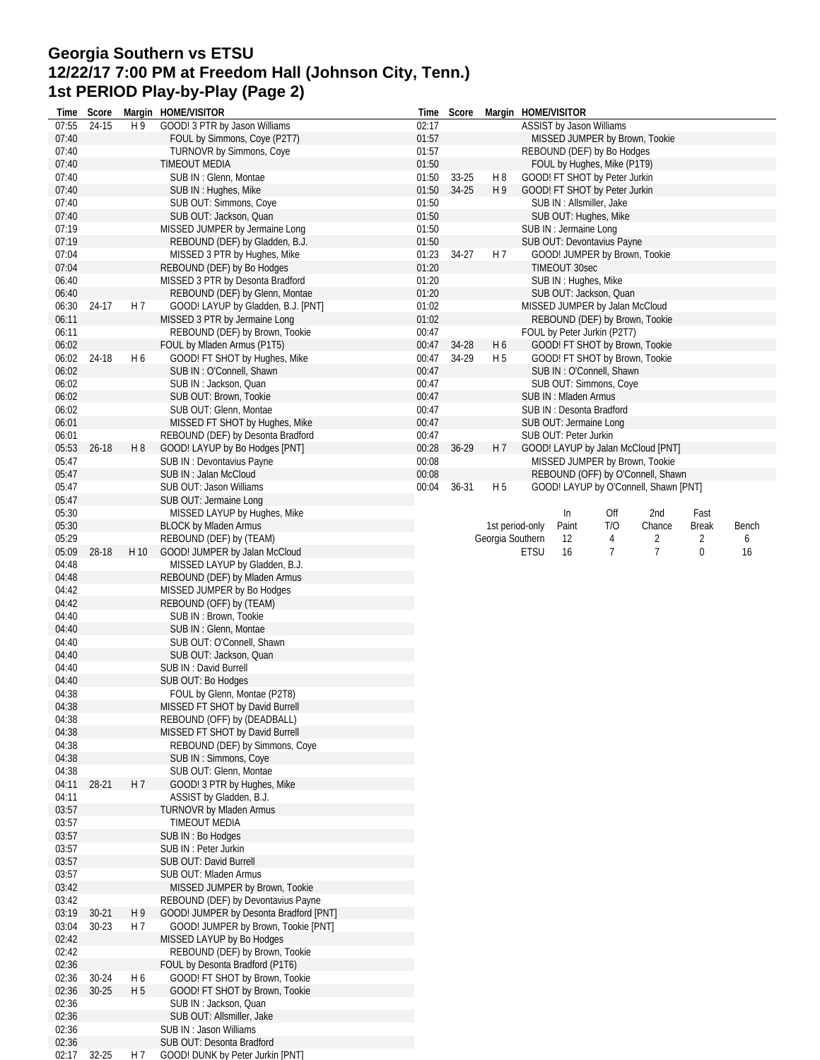### **Georgia Southern vs ETSU 12/22/17 7:00 PM at Freedom Hall (Johnson City, Tenn.) 1st PERIOD Play-by-Play (Page 2)**

| Time           | Score     |                | Margin HOME/VISITOR                                           | Time           | Score     |                      | Margin HOME/VISITOR |                        |                                                    |                                       |                      |       |
|----------------|-----------|----------------|---------------------------------------------------------------|----------------|-----------|----------------------|---------------------|------------------------|----------------------------------------------------|---------------------------------------|----------------------|-------|
| 07:55          | 24-15     | H 9            | GOOD! 3 PTR by Jason Williams                                 | 02:17          |           |                      |                     |                        | ASSIST by Jason Williams                           |                                       |                      |       |
| 07:40          |           |                | FOUL by Simmons, Coye (P2T7)                                  | 01:57          |           |                      |                     |                        |                                                    | MISSED JUMPER by Brown, Tookie        |                      |       |
| 07:40          |           |                | <b>TURNOVR by Simmons, Coye</b>                               | 01:57          |           |                      |                     |                        | REBOUND (DEF) by Bo Hodges                         |                                       |                      |       |
| 07:40          |           |                | <b>TIMEOUT MEDIA</b>                                          | 01:50          |           |                      |                     |                        | FOUL by Hughes, Mike (P1T9)                        |                                       |                      |       |
| 07:40          |           |                | SUB IN: Glenn, Montae                                         | 01:50          | $33 - 25$ | H <sub>8</sub><br>H9 |                     |                        | GOOD! FT SHOT by Peter Jurkin                      |                                       |                      |       |
| 07:40<br>07:40 |           |                | SUB IN: Hughes, Mike                                          | 01:50<br>01:50 | 34-25     |                      |                     |                        | GOOD! FT SHOT by Peter Jurkin                      |                                       |                      |       |
| 07:40          |           |                | SUB OUT: Simmons, Coye<br>SUB OUT: Jackson, Quan              | 01:50          |           |                      |                     |                        | SUB IN : Allsmiller, Jake<br>SUB OUT: Hughes, Mike |                                       |                      |       |
| 07:19          |           |                | MISSED JUMPER by Jermaine Long                                | 01:50          |           |                      |                     | SUB IN : Jermaine Long |                                                    |                                       |                      |       |
| 07:19          |           |                | REBOUND (DEF) by Gladden, B.J.                                | 01:50          |           |                      |                     |                        | SUB OUT: Devontavius Payne                         |                                       |                      |       |
| 07:04          |           |                | MISSED 3 PTR by Hughes, Mike                                  | 01:23          | 34-27     | H 7                  |                     |                        |                                                    | GOOD! JUMPER by Brown, Tookie         |                      |       |
| 07:04          |           |                | REBOUND (DEF) by Bo Hodges                                    | 01:20          |           |                      |                     | TIMEOUT 30sec          |                                                    |                                       |                      |       |
| 06:40          |           |                | MISSED 3 PTR by Desonta Bradford                              | 01:20          |           |                      |                     |                        | SUB IN: Hughes, Mike                               |                                       |                      |       |
| 06:40          |           |                | REBOUND (DEF) by Glenn, Montae                                | 01:20          |           |                      |                     |                        | SUB OUT: Jackson, Quan                             |                                       |                      |       |
| 06:30          | 24-17     | H <sub>7</sub> | GOOD! LAYUP by Gladden, B.J. [PNT]                            | 01:02          |           |                      |                     |                        | MISSED JUMPER by Jalan McCloud                     |                                       |                      |       |
| 06:11          |           |                | MISSED 3 PTR by Jermaine Long                                 | 01:02          |           |                      |                     |                        |                                                    | REBOUND (DEF) by Brown, Tookie        |                      |       |
| 06:11          |           |                | REBOUND (DEF) by Brown, Tookie                                | 00:47          |           |                      |                     |                        | FOUL by Peter Jurkin (P2T7)                        |                                       |                      |       |
| 06:02          |           |                | FOUL by Mladen Armus (P1T5)                                   | 00:47          | 34-28     | H 6                  |                     |                        |                                                    | GOOD! FT SHOT by Brown, Tookie        |                      |       |
| 06:02          | 24-18     | H <sub>6</sub> | GOOD! FT SHOT by Hughes, Mike                                 | 00:47          | 34-29     | H <sub>5</sub>       |                     |                        |                                                    | GOOD! FT SHOT by Brown, Tookie        |                      |       |
| 06:02          |           |                | SUB IN: O'Connell, Shawn                                      | 00:47          |           |                      |                     |                        | SUB IN: O'Connell, Shawn                           |                                       |                      |       |
| 06:02          |           |                | SUB IN: Jackson, Quan                                         | 00:47          |           |                      |                     |                        | SUB OUT: Simmons, Coye                             |                                       |                      |       |
| 06:02          |           |                | SUB OUT: Brown, Tookie                                        | 00:47          |           |                      |                     | SUB IN: Mladen Armus   |                                                    |                                       |                      |       |
| 06:02          |           |                | SUB OUT: Glenn, Montae                                        | 00:47          |           |                      |                     |                        | SUB IN: Desonta Bradford                           |                                       |                      |       |
| 06:01          |           |                | MISSED FT SHOT by Hughes, Mike                                | 00:47          |           |                      |                     |                        | SUB OUT: Jermaine Long                             |                                       |                      |       |
| 06:01          |           |                | REBOUND (DEF) by Desonta Bradford                             | 00:47          |           |                      |                     | SUB OUT: Peter Jurkin  |                                                    |                                       |                      |       |
| 05:53          | $26 - 18$ | H <sub>8</sub> | GOOD! LAYUP by Bo Hodges [PNT]                                | 00:28          | 36-29     | H 7                  |                     |                        |                                                    | GOOD! LAYUP by Jalan McCloud [PNT]    |                      |       |
| 05:47          |           |                | SUB IN: Devontavius Payne                                     | 00:08          |           |                      |                     |                        |                                                    | MISSED JUMPER by Brown, Tookie        |                      |       |
| 05:47          |           |                | SUB IN: Jalan McCloud                                         | 00:08          |           |                      |                     |                        |                                                    | REBOUND (OFF) by O'Connell, Shawn     |                      |       |
| 05:47          |           |                | SUB OUT: Jason Williams                                       | 00:04          | $36 - 31$ | H <sub>5</sub>       |                     |                        |                                                    | GOOD! LAYUP by O'Connell, Shawn [PNT] |                      |       |
| 05:47          |           |                | SUB OUT: Jermaine Long                                        |                |           |                      |                     |                        |                                                    |                                       |                      |       |
| 05:30<br>05:30 |           |                | MISSED LAYUP by Hughes, Mike<br><b>BLOCK by Mladen Armus</b>  |                |           | 1st period-only      |                     | In<br>Paint            | Off<br>T/O                                         | 2nd<br>Chance                         | Fast<br><b>Break</b> | Bench |
| 05:29          |           |                | REBOUND (DEF) by (TEAM)                                       |                |           | Georgia Southern     |                     | 12                     | 4                                                  | 2                                     | 2                    | 6     |
| 05:09          | 28-18     | H 10           | GOOD! JUMPER by Jalan McCloud                                 |                |           |                      | <b>ETSU</b>         | 16                     | $\overline{7}$                                     | $\overline{7}$                        | 0                    | 16    |
| 04:48          |           |                | MISSED LAYUP by Gladden, B.J.                                 |                |           |                      |                     |                        |                                                    |                                       |                      |       |
| 04:48          |           |                | REBOUND (DEF) by Mladen Armus                                 |                |           |                      |                     |                        |                                                    |                                       |                      |       |
| 04:42          |           |                | MISSED JUMPER by Bo Hodges                                    |                |           |                      |                     |                        |                                                    |                                       |                      |       |
| 04:42          |           |                | REBOUND (OFF) by (TEAM)                                       |                |           |                      |                     |                        |                                                    |                                       |                      |       |
| 04:40          |           |                | SUB IN: Brown, Tookie                                         |                |           |                      |                     |                        |                                                    |                                       |                      |       |
| 04:40          |           |                | SUB IN: Glenn, Montae                                         |                |           |                      |                     |                        |                                                    |                                       |                      |       |
| 04:40          |           |                | SUB OUT: O'Connell, Shawn                                     |                |           |                      |                     |                        |                                                    |                                       |                      |       |
| 04:40          |           |                | SUB OUT: Jackson, Quan                                        |                |           |                      |                     |                        |                                                    |                                       |                      |       |
| 04:40          |           |                | SUB IN: David Burrell                                         |                |           |                      |                     |                        |                                                    |                                       |                      |       |
| 04:40          |           |                | <b>SUB OUT: Bo Hodges</b>                                     |                |           |                      |                     |                        |                                                    |                                       |                      |       |
| 04:38          |           |                | FOUL by Glenn, Montae (P2T8)                                  |                |           |                      |                     |                        |                                                    |                                       |                      |       |
| 04:38          |           |                | MISSED FT SHOT by David Burrell                               |                |           |                      |                     |                        |                                                    |                                       |                      |       |
| 04:38          |           |                | REBOUND (OFF) by (DEADBALL)                                   |                |           |                      |                     |                        |                                                    |                                       |                      |       |
| 04:38          |           |                | MISSED FT SHOT by David Burrell                               |                |           |                      |                     |                        |                                                    |                                       |                      |       |
| 04:38          |           |                | REBOUND (DEF) by Simmons, Coye                                |                |           |                      |                     |                        |                                                    |                                       |                      |       |
| 04:38          |           |                | SUB IN: Simmons, Coye                                         |                |           |                      |                     |                        |                                                    |                                       |                      |       |
| 04:38          |           |                | SUB OUT: Glenn, Montae                                        |                |           |                      |                     |                        |                                                    |                                       |                      |       |
| 04:11<br>04:11 | 28-21     | H 7            | GOOD! 3 PTR by Hughes, Mike<br>ASSIST by Gladden, B.J.        |                |           |                      |                     |                        |                                                    |                                       |                      |       |
| 03:57          |           |                | TURNOVR by Mladen Armus                                       |                |           |                      |                     |                        |                                                    |                                       |                      |       |
| 03:57          |           |                | TIMEOUT MEDIA                                                 |                |           |                      |                     |                        |                                                    |                                       |                      |       |
| 03:57          |           |                | SUB IN: Bo Hodges                                             |                |           |                      |                     |                        |                                                    |                                       |                      |       |
| 03:57          |           |                | SUB IN: Peter Jurkin                                          |                |           |                      |                     |                        |                                                    |                                       |                      |       |
| 03:57          |           |                | SUB OUT: David Burrell                                        |                |           |                      |                     |                        |                                                    |                                       |                      |       |
| 03:57          |           |                | SUB OUT: Mladen Armus                                         |                |           |                      |                     |                        |                                                    |                                       |                      |       |
| 03:42          |           |                | MISSED JUMPER by Brown, Tookie                                |                |           |                      |                     |                        |                                                    |                                       |                      |       |
| 03:42          |           |                | REBOUND (DEF) by Devontavius Payne                            |                |           |                      |                     |                        |                                                    |                                       |                      |       |
| 03:19          | $30 - 21$ | H <sub>9</sub> | GOOD! JUMPER by Desonta Bradford [PNT]                        |                |           |                      |                     |                        |                                                    |                                       |                      |       |
| 03:04          | $30 - 23$ | H 7            | GOOD! JUMPER by Brown, Tookie [PNT]                           |                |           |                      |                     |                        |                                                    |                                       |                      |       |
| 02:42          |           |                | MISSED LAYUP by Bo Hodges                                     |                |           |                      |                     |                        |                                                    |                                       |                      |       |
| 02:42          |           |                | REBOUND (DEF) by Brown, Tookie                                |                |           |                      |                     |                        |                                                    |                                       |                      |       |
| 02:36          |           |                | FOUL by Desonta Bradford (P1T6)                               |                |           |                      |                     |                        |                                                    |                                       |                      |       |
| 02:36          | 30-24     | H <sub>6</sub> | GOOD! FT SHOT by Brown, Tookie                                |                |           |                      |                     |                        |                                                    |                                       |                      |       |
| 02:36          | $30 - 25$ | H <sub>5</sub> | GOOD! FT SHOT by Brown, Tookie                                |                |           |                      |                     |                        |                                                    |                                       |                      |       |
| 02:36          |           |                | SUB IN: Jackson, Quan                                         |                |           |                      |                     |                        |                                                    |                                       |                      |       |
| 02:36          |           |                | SUB OUT: Allsmiller, Jake                                     |                |           |                      |                     |                        |                                                    |                                       |                      |       |
|                |           |                |                                                               |                |           |                      |                     |                        |                                                    |                                       |                      |       |
| 02:36          |           |                | SUB IN: Jason Williams                                        |                |           |                      |                     |                        |                                                    |                                       |                      |       |
| 02:36<br>02:17 | $32 - 25$ | H 7            | SUB OUT: Desonta Bradford<br>GOOD! DUNK by Peter Jurkin [PNT] |                |           |                      |                     |                        |                                                    |                                       |                      |       |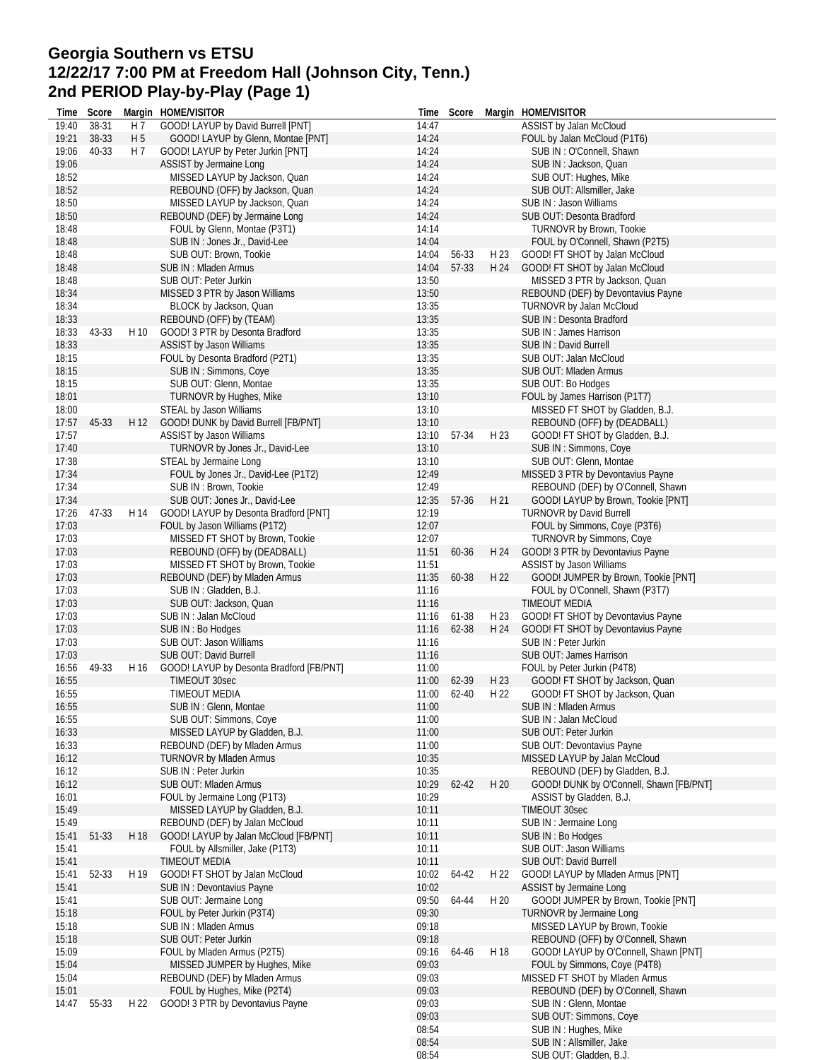# **Georgia Southern vs ETSU 12/22/17 7:00 PM at Freedom Hall (Johnson City, Tenn.) 2nd PERIOD Play-by-Play (Page 1)**

| Time           | Score |                | Margin HOME/VISITOR                                              |                | Time Score |      | Margin HOME/VISITOR                                          |
|----------------|-------|----------------|------------------------------------------------------------------|----------------|------------|------|--------------------------------------------------------------|
| 19:40          | 38-31 | H 7            | GOOD! LAYUP by David Burrell [PNT]                               | 14:47          |            |      | ASSIST by Jalan McCloud                                      |
| 19:21          | 38-33 | H <sub>5</sub> | GOOD! LAYUP by Glenn, Montae [PNT]                               | 14:24          |            |      | FOUL by Jalan McCloud (P1T6)                                 |
| 19:06          | 40-33 | H 7            | GOOD! LAYUP by Peter Jurkin [PNT]                                | 14:24          |            |      | SUB IN: O'Connell, Shawn                                     |
| 19:06          |       |                | ASSIST by Jermaine Long                                          | 14:24          |            |      | SUB IN: Jackson, Quan                                        |
| 18:52          |       |                | MISSED LAYUP by Jackson, Quan                                    | 14:24          |            |      | SUB OUT: Hughes, Mike                                        |
| 18:52          |       |                | REBOUND (OFF) by Jackson, Quan                                   | 14:24          |            |      | SUB OUT: Allsmiller, Jake                                    |
| 18:50          |       |                | MISSED LAYUP by Jackson, Quan                                    | 14:24          |            |      | SUB IN: Jason Williams                                       |
| 18:50          |       |                | REBOUND (DEF) by Jermaine Long                                   | 14:24          |            |      | SUB OUT: Desonta Bradford                                    |
| 18:48          |       |                | FOUL by Glenn, Montae (P3T1)                                     | 14:14          |            |      | TURNOVR by Brown, Tookie                                     |
| 18:48          |       |                | SUB IN : Jones Jr., David-Lee                                    | 14:04          |            |      | FOUL by O'Connell, Shawn (P2T5)                              |
| 18:48          |       |                | SUB OUT: Brown, Tookie                                           | 14:04          | 56-33      | H 23 | GOOD! FT SHOT by Jalan McCloud                               |
| 18:48          |       |                | SUB IN : Mladen Armus                                            | 14:04          | 57-33      | H 24 | GOOD! FT SHOT by Jalan McCloud                               |
| 18:48          |       |                | SUB OUT: Peter Jurkin                                            | 13:50          |            |      | MISSED 3 PTR by Jackson, Quan                                |
| 18:34          |       |                | MISSED 3 PTR by Jason Williams                                   | 13:50          |            |      | REBOUND (DEF) by Devontavius Payne                           |
| 18:34          |       |                | BLOCK by Jackson, Quan                                           | 13:35          |            |      | TURNOVR by Jalan McCloud                                     |
| 18:33          |       |                | REBOUND (OFF) by (TEAM)                                          | 13:35          |            |      | SUB IN: Desonta Bradford                                     |
| 18:33          | 43-33 | H 10           | GOOD! 3 PTR by Desonta Bradford                                  | 13:35          |            |      | SUB IN : James Harrison                                      |
| 18:33          |       |                | ASSIST by Jason Williams                                         | 13:35          |            |      | SUB IN: David Burrell                                        |
| 18:15          |       |                | FOUL by Desonta Bradford (P2T1)                                  | 13:35          |            |      | SUB OUT: Jalan McCloud                                       |
| 18:15          |       |                | SUB IN: Simmons, Coye                                            | 13:35          |            |      | SUB OUT: Mladen Armus                                        |
| 18:15          |       |                | SUB OUT: Glenn, Montae                                           | 13:35          |            |      | SUB OUT: Bo Hodges                                           |
| 18:01          |       |                | TURNOVR by Hughes, Mike                                          | 13:10          |            |      | FOUL by James Harrison (P1T7)                                |
| 18:00          |       |                | STEAL by Jason Williams                                          | 13:10          |            |      | MISSED FT SHOT by Gladden, B.J.                              |
| 17:57          | 45-33 | H 12           | GOOD! DUNK by David Burrell [FB/PNT]                             | 13:10          |            |      | REBOUND (OFF) by (DEADBALL)                                  |
| 17:57          |       |                | ASSIST by Jason Williams                                         | 13:10          | 57-34      | H 23 | GOOD! FT SHOT by Gladden, B.J.                               |
| 17:40          |       |                | TURNOVR by Jones Jr., David-Lee                                  | 13:10          |            |      | SUB IN: Simmons, Coye                                        |
| 17:38          |       |                | STEAL by Jermaine Long                                           | 13:10          |            |      | SUB OUT: Glenn, Montae                                       |
| 17:34          |       |                | FOUL by Jones Jr., David-Lee (P1T2)                              | 12:49          |            |      | MISSED 3 PTR by Devontavius Payne                            |
| 17:34          |       |                | SUB IN: Brown, Tookie                                            | 12:49          |            |      | REBOUND (DEF) by O'Connell, Shawn                            |
| 17:34          |       |                | SUB OUT: Jones Jr., David-Lee                                    | 12:35          | 57-36      | H 21 | GOOD! LAYUP by Brown, Tookie [PNT]                           |
| 17:26<br>17:03 | 47-33 | H 14           | GOOD! LAYUP by Desonta Bradford [PNT]                            | 12:19<br>12:07 |            |      | <b>TURNOVR by David Burrell</b>                              |
| 17:03          |       |                | FOUL by Jason Williams (P1T2)<br>MISSED FT SHOT by Brown, Tookie | 12:07          |            |      | FOUL by Simmons, Coye (P3T6)                                 |
| 17:03          |       |                |                                                                  |                | 60-36      | H 24 | TURNOVR by Simmons, Coye                                     |
| 17:03          |       |                | REBOUND (OFF) by (DEADBALL)<br>MISSED FT SHOT by Brown, Tookie   | 11:51<br>11:51 |            |      | GOOD! 3 PTR by Devontavius Payne<br>ASSIST by Jason Williams |
| 17:03          |       |                | REBOUND (DEF) by Mladen Armus                                    | 11:35          | 60-38      | H 22 | GOOD! JUMPER by Brown, Tookie [PNT]                          |
| 17:03          |       |                | SUB IN: Gladden, B.J.                                            |                |            |      |                                                              |
| 17:03          |       |                |                                                                  | 11:16<br>11:16 |            |      | FOUL by O'Connell, Shawn (P3T7)<br>TIMEOUT MEDIA             |
| 17:03          |       |                | SUB OUT: Jackson, Quan<br>SUB IN: Jalan McCloud                  | 11:16          | 61-38      | H 23 | GOOD! FT SHOT by Devontavius Payne                           |
| 17:03          |       |                | SUB IN: Bo Hodges                                                | 11:16          | 62-38      | H 24 | GOOD! FT SHOT by Devontavius Payne                           |
| 17:03          |       |                | SUB OUT: Jason Williams                                          | 11:16          |            |      | SUB IN: Peter Jurkin                                         |
| 17:03          |       |                | SUB OUT: David Burrell                                           | 11:16          |            |      | SUB OUT: James Harrison                                      |
| 16:56          | 49-33 |                | H 16 GOOD! LAYUP by Desonta Bradford [FB/PNT]                    | 11:00          |            |      | FOUL by Peter Jurkin (P4T8)                                  |
| 16:55          |       |                | TIMEOUT 30sec                                                    | 11:00          | 62-39      | H 23 | GOOD! FT SHOT by Jackson, Quan                               |
| 16:55          |       |                | <b>TIMEOUT MEDIA</b>                                             | 11:00          | 62-40      | H 22 | GOOD! FT SHOT by Jackson, Quan                               |
| 16:55          |       |                | SUB IN: Glenn, Montae                                            | 11:00          |            |      | SUB IN: Mladen Armus                                         |
| 16:55          |       |                | SUB OUT: Simmons, Coye                                           | 11:00          |            |      | SUB IN: Jalan McCloud                                        |
| 16:33          |       |                | MISSED LAYUP by Gladden, B.J.                                    | 11:00          |            |      | SUB OUT: Peter Jurkin                                        |
| 16:33          |       |                | REBOUND (DEF) by Mladen Armus                                    | 11:00          |            |      | SUB OUT: Devontavius Payne                                   |
| 16:12          |       |                | <b>TURNOVR by Mladen Armus</b>                                   | 10:35          |            |      | MISSED LAYUP by Jalan McCloud                                |
| 16:12          |       |                | SUB IN: Peter Jurkin                                             | 10:35          |            |      | REBOUND (DEF) by Gladden, B.J.                               |
| 16:12          |       |                | SUB OUT: Mladen Armus                                            | 10:29          | $62 - 42$  | H 20 | GOOD! DUNK by O'Connell, Shawn [FB/PNT]                      |
| 16:01          |       |                | FOUL by Jermaine Long (P1T3)                                     | 10:29          |            |      | ASSIST by Gladden, B.J.                                      |
| 15:49          |       |                | MISSED LAYUP by Gladden, B.J.                                    | 10:11          |            |      | TIMEOUT 30sec                                                |
| 15:49          |       |                | REBOUND (DEF) by Jalan McCloud                                   | 10:11          |            |      | SUB IN : Jermaine Long                                       |
| 15:41          | 51-33 | H 18           | GOOD! LAYUP by Jalan McCloud [FB/PNT]                            | 10:11          |            |      | SUB IN : Bo Hodges                                           |
| 15:41          |       |                | FOUL by Allsmiller, Jake (P1T3)                                  | 10:11          |            |      | SUB OUT: Jason Williams                                      |
| 15:41          |       |                | <b>TIMEOUT MEDIA</b>                                             | 10:11          |            |      | SUB OUT: David Burrell                                       |
| 15:41          | 52-33 | H 19           | GOOD! FT SHOT by Jalan McCloud                                   | 10:02          | 64-42      | H 22 | GOOD! LAYUP by Mladen Armus [PNT]                            |
| 15:41          |       |                | SUB IN: Devontavius Payne                                        | 10:02          |            |      | ASSIST by Jermaine Long                                      |
| 15:41          |       |                | SUB OUT: Jermaine Long                                           | 09:50          | 64-44      | H 20 | GOOD! JUMPER by Brown, Tookie [PNT]                          |
| 15:18          |       |                | FOUL by Peter Jurkin (P3T4)                                      | 09:30          |            |      | TURNOVR by Jermaine Long                                     |
| 15:18          |       |                | SUB IN: Mladen Armus                                             | 09:18          |            |      | MISSED LAYUP by Brown, Tookie                                |
| 15:18          |       |                | SUB OUT: Peter Jurkin                                            | 09:18          |            |      | REBOUND (OFF) by O'Connell, Shawn                            |
| 15:09          |       |                | FOUL by Mladen Armus (P2T5)                                      | 09:16          | 64-46      | H 18 | GOOD! LAYUP by O'Connell, Shawn [PNT]                        |
| 15:04          |       |                | MISSED JUMPER by Hughes, Mike                                    | 09:03          |            |      | FOUL by Simmons, Coye (P4T8)                                 |
| 15:04          |       |                | REBOUND (DEF) by Mladen Armus                                    | 09:03          |            |      | MISSED FT SHOT by Mladen Armus                               |
| 15:01          |       |                | FOUL by Hughes, Mike (P2T4)                                      | 09:03          |            |      | REBOUND (DEF) by O'Connell, Shawn                            |
| 14:47          | 55-33 | H 22           | GOOD! 3 PTR by Devontavius Payne                                 | 09:03          |            |      | SUB IN: Glenn, Montae                                        |
|                |       |                |                                                                  | 09:03          |            |      | SUB OUT: Simmons, Coye                                       |
|                |       |                |                                                                  | 08:54          |            |      | SUB IN: Hughes, Mike                                         |
|                |       |                |                                                                  | 08:54          |            |      | SUB IN : Allsmiller, Jake                                    |
|                |       |                |                                                                  | 08:54          |            |      | SUB OUT: Gladden, B.J.                                       |